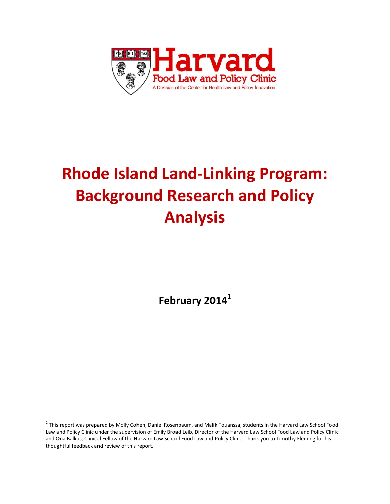

# **Rhode Island Land-Linking Program: Background Research and Policy Analysis**

**February 2014<sup>1</sup>**

 $^1$  This report was prepared by Molly Cohen, Daniel Rosenbaum, and Malik Touanssa, students in the Harvard Law School Food Law and Policy Clinic under the supervision of Emily Broad Leib, Director of the Harvard Law School Food Law and Policy Clinic and Ona Balkus, Clinical Fellow of the Harvard Law School Food Law and Policy Clinic. Thank you to Timothy Fleming for his thoughtful feedback and review of this report.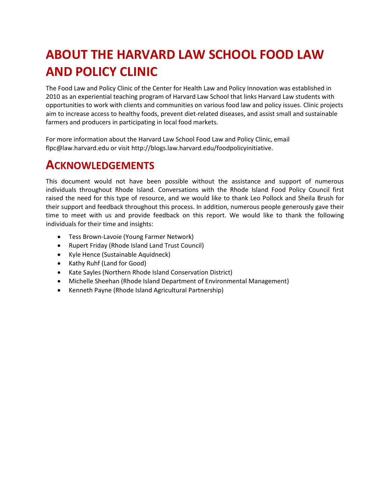## **ABOUT THE HARVARD LAW SCHOOL FOOD LAW AND POLICY CLINIC**

The Food Law and Policy Clinic of the Center for Health Law and Policy Innovation was established in 2010 as an experiential teaching program of Harvard Law School that links Harvard Law students with opportunities to work with clients and communities on various food law and policy issues. Clinic projects aim to increase access to healthy foods, prevent diet-related diseases, and assist small and sustainable farmers and producers in participating in local food markets.

For more information about the Harvard Law School Food Law and Policy Clinic, email flpc@law.harvard.edu or visit http://blogs.law.harvard.edu/foodpolicyinitiative.

## **ACKNOWLEDGEMENTS**

This document would not have been possible without the assistance and support of numerous individuals throughout Rhode Island. Conversations with the Rhode Island Food Policy Council first raised the need for this type of resource, and we would like to thank Leo Pollock and Sheila Brush for their support and feedback throughout this process. In addition, numerous people generously gave their time to meet with us and provide feedback on this report. We would like to thank the following individuals for their time and insights:

- Tess Brown-Lavoie (Young Farmer Network)
- Rupert Friday (Rhode Island Land Trust Council)
- Kyle Hence (Sustainable Aquidneck)
- Kathy Ruhf (Land for Good)
- Kate Sayles (Northern Rhode Island Conservation District)
- Michelle Sheehan (Rhode Island Department of Environmental Management)
- Kenneth Payne (Rhode Island Agricultural Partnership)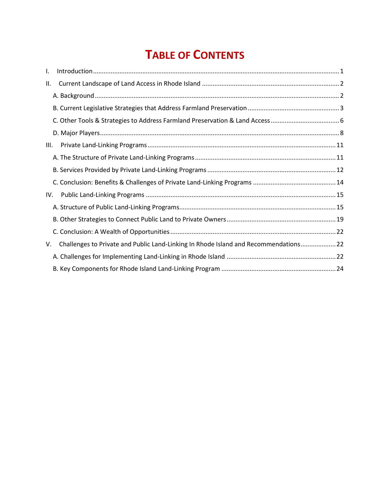## **TABLE OF CONTENTS**

| I.   |                                                                                      |  |
|------|--------------------------------------------------------------------------------------|--|
| Ш.   |                                                                                      |  |
|      |                                                                                      |  |
|      |                                                                                      |  |
|      |                                                                                      |  |
|      |                                                                                      |  |
| III. |                                                                                      |  |
|      |                                                                                      |  |
|      |                                                                                      |  |
|      |                                                                                      |  |
| IV.  |                                                                                      |  |
|      |                                                                                      |  |
|      |                                                                                      |  |
|      |                                                                                      |  |
| V.   | Challenges to Private and Public Land-Linking In Rhode Island and Recommendations 22 |  |
|      |                                                                                      |  |
|      |                                                                                      |  |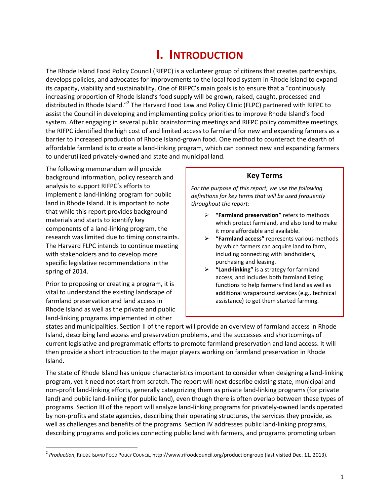## **I. INTRODUCTION**

The Rhode Island Food Policy Council (RIFPC) is a volunteer group of citizens that creates partnerships, develops policies, and advocates for improvements to the local food system in Rhode Island to expand its capacity, viability and sustainability. One of RIFPC's main goals is to ensure that a "continuously increasing proportion of Rhode Island's food supply will be grown, raised, caught, processed and distributed in Rhode Island."<sup>2</sup> The Harvard Food Law and Policy Clinic (FLPC) partnered with RIFPC to assist the Council in developing and implementing policy priorities to improve Rhode Island's food system. After engaging in several public brainstorming meetings and RIFPC policy committee meetings, the RIFPC identified the high cost of and limited access to farmland for new and expanding farmers as a barrier to increased production of Rhode Island-grown food. One method to counteract the dearth of affordable farmland is to create a land-linking program, which can connect new and expanding farmers to underutilized privately-owned and state and municipal land.

The following memorandum will provide background information, policy research and analysis to support RIFPC's efforts to implement a land-linking program for public land in Rhode Island. It is important to note that while this report provides background materials and starts to identify key components of a land-linking program, the research was limited due to timing constraints. The Harvard FLPC intends to continue meeting with stakeholders and to develop more specific legislative recommendations in the spring of 2014.

Prior to proposing or creating a program, it is vital to understand the existing landscape of farmland preservation and land access in Rhode Island as well as the private and public land-linking programs implemented in other

 $\overline{a}$ 

#### **Key Terms**

*For the purpose of this report, we use the following definitions for key terms that will be used frequently throughout the report:*

- **"Farmland preservation"** refers to methods which protect farmland, and also tend to make it more affordable and available.
- **"Farmland access"** represents various methods by which farmers can acquire land to farm, including connecting with landholders, purchasing and leasing.
- **"Land-linking"** is a strategy for farmland access, and includes both farmland listing functions to help farmers find land as well as additional wraparound services (e.g., technical assistance) to get them started farming.

states and municipalities. Section [II](#page-4-0) of the report will provide an overview of farmland access in Rhode Island, describing land access and preservation problems, and the successes and shortcomings of current legislative and programmatic efforts to promote farmland preservation and land access. It will then provide a short introduction to the major players working on farmland preservation in Rhode Island.

The state of Rhode Island has unique characteristics important to consider when designing a land-linking program, yet it need not start from scratch. The report will next describe existing state, municipal and non-profit land-linking efforts, generally categorizing them as private land-linking programs (for private land) and public land-linking (for public land), even though there is often overlap between these types of programs. Sectio[n III](#page-13-0) of the report will analyze land-linking programs for privately-owned lands operated by non-profits and state agencies, describing their operating structures, the services they provide, as well as challenges and benefits of the programs. Section [IV](#page-17-0) addresses public land-linking programs, describing programs and policies connecting public land with farmers, and programs promoting urban

<sup>&</sup>lt;sup>2</sup> Production, Rнорє ІзLAND Food PoLIcy Council, http://www.rifoodcouncil.org/productiongroup (last visited Dec. 11, 2013).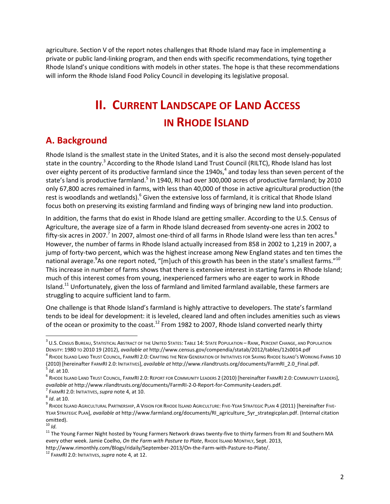agriculture. Section [V](#page-24-0) of the report notes challenges that Rhode Island may face in implementing a private or public land-linking program, and then ends with specific recommendations, tying together Rhode Island's unique conditions with models in other states. The hope is that these recommendations will inform the Rhode Island Food Policy Council in developing its legislative proposal.

## <span id="page-4-1"></span>**II. CURRENT LANDSCAPE OF LAND ACCESS IN RHODE ISLAND**

### <span id="page-4-0"></span>**A. Background**

Rhode Island is the smallest state in the United States, and it is also the second most densely-populated state in the country.<sup>3</sup> According to the Rhode Island Land Trust Council (RILTC), Rhode Island has lost over eighty percent of its productive farmland since the 1940s,<sup>4</sup> and today less than seven percent of the state's land is productive farmland.<sup>5</sup> In 1940, RI had over 300,000 acres of productive farmland; by 2010 only 67,800 acres remained in farms, with less than 40,000 of those in active agricultural production (the rest is woodlands and wetlands).<sup>6</sup> Given the extensive loss of farmland, it is critical that Rhode Island focus both on preserving its existing farmland and finding ways of bringing new land into production.

<span id="page-4-3"></span><span id="page-4-2"></span>In addition, the farms that do exist in Rhode Island are getting smaller. According to the U.S. Census of Agriculture, the average size of a farm in Rhode Island decreased from seventy-one acres in 2002 to fifty-six acres in 2007.<sup>7</sup> In 2007, almost one-third of all farms in Rhode Island were less than ten acres. $^8$ However, the number of farms in Rhode Island actually increased from 858 in 2002 to 1,219 in 2007, a jump of forty-two percent, which was the highest increase among New England states and ten times the national average.<sup>9</sup>As one report noted, "[m]uch of this growth has been in the state's smallest farms."<sup>10</sup> This increase in number of farms shows that there is extensive interest in starting farms in Rhode Island; much of this interest comes from young, inexperienced farmers who are eager to work in Rhode Island.<sup>11</sup> Unfortunately, given the loss of farmland and limited farmland available, these farmers are struggling to acquire sufficient land to farm.

<span id="page-4-4"></span>One challenge is that Rhode Island's farmland is highly attractive to developers. The state's farmland tends to be ideal for development: it is leveled, cleared land and often includes amenities such as views of the ocean or proximity to the coast.<sup>12</sup> From 1982 to 2007, Rhode Island converted nearly thirty

l

 $^3$  U.S. Census Bureau, Statistical Abstract of the United States: Table 14: State Population — Rank, Percent Change, and Population DENSITY: 1980 TO 2010 19 (2012), *available at* http://www.census.gov/compendia/statab/2012/tables/12s0014.pdf

 $^4$  Rhode Island Land Trust Council, FarmRI 2.0: Crafting the New Generation of Initiatives for Saving Rhode Island's Working Farms 10 (2010) [hereinafter FARMRI 2.0: INITIATIVES], *available at* http://www.rilandtrusts.org/documents/FarmRI\_2.0\_Final.pdf. 5 *Id*. at 10.

 $^6$  Rhode Island Land Trust Council, FarmRI 2.0: Report for Community Leaders 2 (2010) [hereinafter FarmRI 2.0: Community Leaders], *available at* http://www.rilandtrusts.org/documents/FarmRI-2-0-Report-for-Community-Leaders.pdf.

<sup>7</sup> FARMRI 2.0: INITIATIVES,*supra* not[e 4,](#page-4-1) at 10.

<sup>8</sup> *Id*. at 10.

 $^9$  Rhode Island Agricultural Partnership, A Vision for Rhode Island Agriculture: Five-Year Strategic Plan 4 (2011) [hereinafter Five-YEAR STRATEGIC PLAN], *available at* http://www.farmland.org/documents/RI\_agriculture\_5yr\_strategicplan.pdf. (Internal citation omitted).

<sup>10</sup> *Id.*

<sup>&</sup>lt;sup>11</sup> The Young Farmer Night hosted by Young Farmers Network draws twenty-five to thirty farmers from RI and Southern MA every other week. Jamie Coelho, *On the Farm with Pasture to Plate*, RHODE ISLAND MONTHLY, Sept. 2013, http://www.rimonthly.com/Blogs/ridaily/September-2013/On-the-Farm-with-Pasture-to-Plate/.

<sup>12</sup> FARMRI 2.0: INITIATIVES,*supra* not[e 4,](#page-4-1) at 12.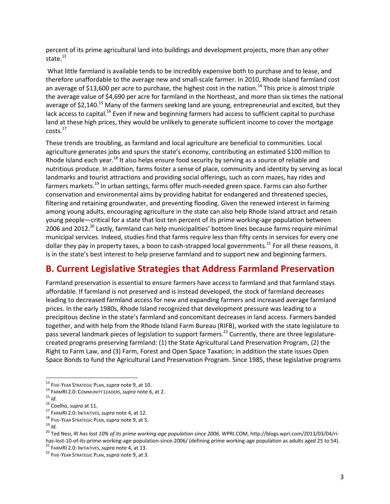percent of its prime agricultural land into buildings and development projects, more than any other state.<sup>13</sup>

What little farmland is available tends to be incredibly expensive both to purchase and to lease, and therefore unaffordable to the average new and small-scale farmer. In 2010, Rhode Island farmland cost an average of \$13,600 per acre to purchase, the highest cost in the nation.<sup>14</sup> This price is almost triple the average value of \$4,690 per acre for farmland in the Northeast, and more than six times the national average of \$2,140.<sup>15</sup> Many of the farmers seeking land are young, entrepreneurial and excited, but they lack access to capital.<sup>16</sup> Even if new and beginning farmers had access to sufficient capital to purchase land at these high prices, they would be unlikely to generate sufficient income to cover the mortgage costs.<sup>17</sup>

These trends are troubling, as farmland and local agriculture are beneficial to communities. Local agriculture generates jobs and spurs the state's economy, contributing an estimated \$100 million to Rhode Island each year.<sup>18</sup> It also helps ensure food security by serving as a source of reliable and nutritious produce. In addition, farms foster a sense of place, community and identity by serving as local landmarks and tourist attractions and providing social offerings, such as corn mazes, hay rides and farmers markets.<sup>19</sup> In urban settings, farms offer much-needed green space. Farms can also further conservation and environmental aims by providing habitat for endangered and threatened species, filtering and retaining groundwater, and preventing flooding. Given the renewed interest in farming among young adults, encouraging agriculture in the state can also help Rhode Island attract and retain young people—critical for a state that lost ten percent of its prime working-age population between 2006 and 2012.<sup>20</sup> Lastly, farmland can help municipalities' bottom lines because farms require minimal municipal services. Indeed, studies find that farms require less than fifty cents in services for every one dollar they pay in property taxes, a boon to cash-strapped local governments.<sup>21</sup> For all these reasons, it is in the state's best interest to help preserve farmland and to support new and beginning farmers.

### **B. Current Legislative Strategies that Address Farmland Preservation**

Farmland preservation is essential to ensure farmers have access to farmland and that farmland stays affordable. If farmland is not preserved and is instead developed, the stock of farmland decreases leading to decreased farmland access for new and expanding farmers and increased average farmland prices. In the early 1980s, Rhode Island recognized that development pressure was leading to a precipitous decline in the state's farmland and concomitant decreases in land access. Farmers banded together, and with help from the Rhode Island Farm Bureau (RIFB), worked with the state legislature to pass several landmark pieces of legislation to support farmers.<sup>22</sup> Currently, there are three legislaturecreated programs preserving farmland: (1) the State Agricultural Land Preservation Program, (2) the Right to Farm Law, and (3) Farm, Forest and Open Space Taxation; in addition the state issues Open Space Bonds to fund the Agricultural Land Preservation Program. Since 1985, these legislative programs

<sup>13</sup> FIVE-YEAR STRATEGIC PLAN,*supra* not[e 9,](#page-4-2) at 10.

<sup>14</sup> FARMRI 2.0: COMMUNITY LEADERS,*supra* not[e 6,](#page-4-3) at 2.

<sup>15</sup> *Id.*

<sup>16</sup> Coelho, *supra* at [11.](#page-4-4)

<sup>17</sup> FARMRI 2.0: INITIATIVES,*supra* not[e 4,](#page-4-1) at 12.

<sup>18</sup> FIVE-YEAR STRATEGIC PLAN,*supra* not[e 9,](#page-4-2) at 5.

<sup>19</sup> *Id.*

<sup>&</sup>lt;sup>20</sup> Ted Nesi, RI has lost 10% of its prime working-age population since 2006, WPRI.COM, http://blogs.wpri.com/2013/03/04/rihas-lost-10-of-its-prime-working-age-population-since-2006/ (defining prime working-age population as adults aged 25 to 54).

<sup>21</sup> FARMRI 2.0: INITIATIVES,*supra* not[e 4,](#page-4-1) at 13.

<sup>22</sup> FIVE-YEAR STRATEGIC PLAN,*supra* not[e 9,](#page-4-2) at 3.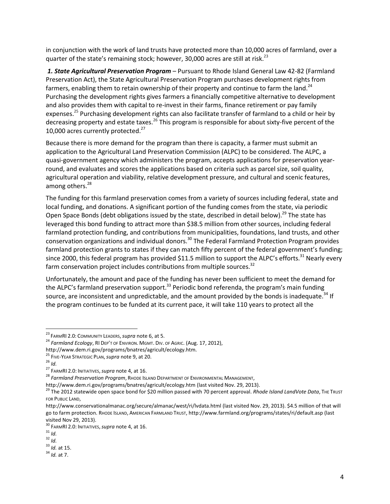in conjunction with the work of land trusts have protected more than 10,000 acres of farmland, over a quarter of the state's remaining stock; however, 30,000 acres are still at risk. $^{23}$ 

*1. State Agricultural Preservation Program* – Pursuant to Rhode Island General Law 42-82 (Farmland Preservation Act), the State Agricultural Preservation Program purchases development rights from farmers, enabling them to retain ownership of their property and continue to farm the land.<sup>24</sup> Purchasing the development rights gives farmers a financially competitive alternative to development and also provides them with capital to re-invest in their farms, finance retirement or pay family expenses.<sup>25</sup> Purchasing development rights can also facilitate transfer of farmland to a child or heir by decreasing property and estate taxes.<sup>26</sup> This program is responsible for about sixty-five percent of the 10,000 acres currently protected. $^{27}$ 

Because there is more demand for the program than there is capacity, a farmer must submit an application to the Agricultural Land Preservation Commission (ALPC) to be considered. The ALPC, a quasi-government agency which administers the program, accepts applications for preservation yearround, and evaluates and scores the applications based on criteria such as parcel size, soil quality, agricultural operation and viability, relative development pressure, and cultural and scenic features, among others.<sup>28</sup>

The funding for this farmland preservation comes from a variety of sources including federal, state and local funding, and donations. A significant portion of the funding comes from the state, via periodic Open Space Bonds (debt obligations issued by the state, described in detail below).<sup>29</sup> The state has leveraged this bond funding to attract more than \$38.5 million from other sources, including federal farmland protection funding, and contributions from municipalities, foundations, land trusts, and other conservation organizations and individual donors.<sup>30</sup> The Federal Farmland Protection Program provides farmland protection grants to states if they can match fifty percent of the federal government's funding; since 2000, this federal program has provided \$11.5 million to support the ALPC's efforts.<sup>31</sup> Nearly every farm conservation project includes contributions from multiple sources.<sup>32</sup>

Unfortunately, the amount and pace of the funding has never been sufficient to meet the demand for the ALPC's farmland preservation support.<sup>33</sup> Periodic bond referenda, the program's main funding source, are inconsistent and unpredictable, and the amount provided by the bonds is inadequate.<sup>34</sup> If the program continues to be funded at its current pace, it will take 110 years to protect all the

<sup>23</sup> FARMRI 2.0: COMMUNITY LEADERS,*supra* not[e 6,](#page-4-3) at 5.

<sup>24</sup> *Farmland Ecology*, RI DEP'T OF ENVIRON. MGMT. DIV. OF AGRIC. (Aug. 17, 2012),

http://www.dem.ri.gov/programs/bnatres/agricult/ecology.htm.

<sup>25</sup> FIVE-YEAR STRATEGIC PLAN,*supra* not[e 9,](#page-4-2) at 20.

 $^{26}$  *Id.* 

<sup>27</sup> FARMRI 2.0: INITIATIVES,*supra* not[e 4,](#page-4-1) at 16.

<sup>28</sup> *Farmland Preservation Program*, RHODE ISLAND DEPARTMENT OF ENVIRONMENTAL MANAGEMENT,

http://www.dem.ri.gov/programs/bnatres/agricult/ecology.htm (last visited Nov. 29, 2013).

<sup>&</sup>lt;sup>29</sup> The 2012 statewide open space bond for \$20 million passed with 70 percent approval. *Rhode Island LandVote Data*, The TRUST FOR PUBLIC LAND,

http://www.conservationalmanac.org/secure/almanac/west/ri/lvdata.html (last visited Nov. 29, 2013). \$4.5 million of that will go to farm protection. RHODE ISLAND, AMERICAN FARMLAND TRUST, http://www.farmland.org/programs/states/ri/default.asp (last visited Nov 29, 2013).

<sup>30</sup> FARMRI 2.0: INITIATIVES,*supra* not[e 4,](#page-4-1) at 16.

<sup>31</sup> *Id.*

 $rac{1}{4}$ <sup>32</sup> *Id.* 

<sup>33</sup> *Id.* at 15.

<sup>34</sup> *Id.* at 7.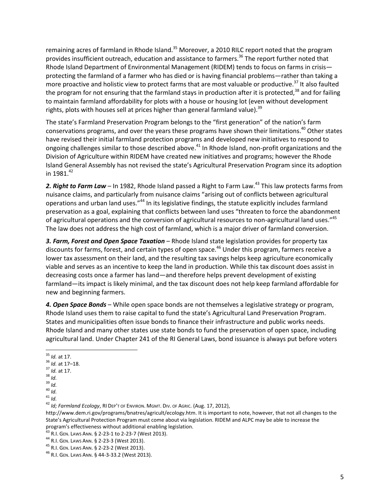remaining acres of farmland in Rhode Island.<sup>35</sup> Moreover, a 2010 RILC report noted that the program provides insufficient outreach, education and assistance to farmers.<sup>36</sup> The report further noted that Rhode Island Department of Environmental Management (RIDEM) tends to focus on farms in crisis protecting the farmland of a farmer who has died or is having financial problems—rather than taking a more proactive and holistic view to protect farms that are most valuable or productive.<sup>37</sup> It also faulted the program for not ensuring that the farmland stays in production after it is protected,<sup>38</sup> and for failing to maintain farmland affordability for plots with a house or housing lot (even without development rights, plots with houses sell at prices higher than general farmland value).<sup>39</sup>

The state's Farmland Preservation Program belongs to the "first generation" of the nation's farm conservations programs, and over the years these programs have shown their limitations.<sup>40</sup> Other states have revised their initial farmland protection programs and developed new initiatives to respond to ongoing challenges similar to those described above.<sup>41</sup> In Rhode Island, non-profit organizations and the Division of Agriculture within RIDEM have created new initiatives and programs; however the Rhode Island General Assembly has not revised the state's Agricultural Preservation Program since its adoption in 1981.<sup>42</sup>

2. **Right to Farm Law** – In 1982, Rhode Island passed a Right to Farm Law.<sup>43</sup> This law protects farms from nuisance claims, and particularly from nuisance claims "arising out of conflicts between agricultural operations and urban land uses."<sup>44</sup> In its legislative findings, the statute explicitly includes farmland preservation as a goal, explaining that conflicts between land uses "threaten to force the abandonment of agricultural operations and the conversion of agricultural resources to non-agricultural land uses."<sup>45</sup> The law does not address the high cost of farmland, which is a major driver of farmland conversion.

*3. Farm, Forest and Open Space Taxation* – Rhode Island state legislation provides for property tax discounts for farms, forest, and certain types of open space.<sup>46</sup> Under this program, farmers receive a lower tax assessment on their land, and the resulting tax savings helps keep agriculture economically viable and serves as an incentive to keep the land in production. While this tax discount does assist in decreasing costs once a farmer has land—and therefore helps prevent development of existing farmland—its impact is likely minimal, and the tax discount does not help keep farmland affordable for new and beginning farmers.

*4. Open Space Bonds* – While open space bonds are not themselves a legislative strategy or program, Rhode Island uses them to raise capital to fund the state's Agricultural Land Preservation Program. States and municipalities often issue bonds to finance their infrastructure and public works needs. Rhode Island and many other states use state bonds to fund the preservation of open space, including agricultural land. Under Chapter 241 of the RI General Laws, bond issuance is always put before voters

- <sup>37</sup> *Id.* at 17.
- <sup>38</sup> *Id.*
- <sup>39</sup> *Id.* <sup>40</sup> *Id.*
- 

<sup>42</sup> *Id; Farmland Ecology*, RI DEP'T OF ENVIRON. MGMT. DIV. OF AGRIC. (Aug. 17, 2012),

http://www.dem.ri.gov/programs/bnatres/agricult/ecology.htm. It is important to note, however, that not all changes to the State's Agricultural Protection Program must come about via legislation. RIDEM and ALPC may be able to increase the program's effectiveness without additional enabling legislation.

 $^{43}$  R.I. Gen. Laws Ann. § 2-23-1 to 2-23-7 (West 2013).

 $\overline{\phantom{a}}$ <sup>35</sup> *Id.* at 17.

<sup>36</sup> *Id.* at 17–18.

<sup>41</sup> *Id.*

<sup>44</sup> R.I. GEN. LAWS ANN. § 2-23-3 (West 2013).

<sup>45</sup> R.I. GEN. LAWS ANN. § 2-23-2 (West 2013).

<sup>46</sup> R.I. GEN. LAWS ANN. § 44-3-33.2 (West 2013).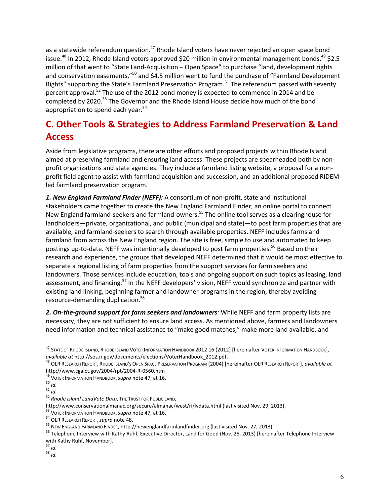<span id="page-8-1"></span><span id="page-8-0"></span>as a statewide referendum question.<sup>47</sup> Rhode Island voters have never rejected an open space bond issue.<sup>48</sup> In 2012, Rhode Island voters approved \$20 million in environmental management bonds.<sup>49</sup> \$2.5 million of that went to "State Land-Acquisition – Open Space" to purchase "land, development rights and conservation easements,"<sup>50</sup> and \$4.5 million went to fund the purchase of "Farmland Development Rights" supporting the State's Farmland Preservation Program.<sup>51</sup> The referendum passed with seventy percent approval.<sup>52</sup> The use of the 2012 bond money is expected to commence in 2014 and be completed by 2020.<sup>53</sup> The Governor and the Rhode Island House decide how much of the bond appropriation to spend each year.<sup>54</sup>

## **C. Other Tools & Strategies to Address Farmland Preservation & Land Access**

Aside from legislative programs, there are other efforts and proposed projects within Rhode Island aimed at preserving farmland and ensuring land access. These projects are spearheaded both by nonprofit organizations and state agencies. They include a farmland listing website, a proposal for a nonprofit field agent to assist with farmland acquisition and succession, and an additional proposed RIDEMled farmland preservation program.

<span id="page-8-2"></span>*1. New England Farmland Finder (NEFF):* A consortium of non-profit, state and institutional stakeholders came together to create the New England Farmland Finder, an online portal to connect New England farmland-seekers and farmland-owners.<sup>55</sup> The online tool serves as a clearinghouse for landholders—private, organizational, and public (municipal and state)—to post farm properties that are available, and farmland-seekers to search through available properties. NEFF includes farms and farmland from across the New England region. The site is free, simple to use and automated to keep postings up-to-date. NEFF was intentionally developed to post farm properties.<sup>56</sup> Based on their research and experience, the groups that developed NEFF determined that it would be most effective to separate a regional listing of farm properties from the support services for farm seekers and landowners. Those services include education, tools and ongoing support on such topics as leasing, land assessment, and financing.<sup>57</sup> In the NEFF developers' vision, NEFF would synchronize and partner with existing land linking, beginning farmer and landowner programs in the region, thereby avoiding resource-demanding duplication.<sup>58</sup>

*2. On-the-ground support for farm seekers and landowners:* While NEFF and farm property lists are necessary, they are not sufficient to ensure land access. As mentioned above, farmers and landowners need information and technical assistance to "make good matches," make more land available, and

l

<sup>&</sup>lt;sup>47</sup> State of Rhode Island, Rhode Island Voter Information Handbook 2012 16 (2012) [hereinafter Voter Information Handbook], *available at* http://sos.ri.gov/documents/elections/VoterHandbook\_2012.pdf.

<sup>48</sup> OLR RESEARCH REPORT, RHODE ISLAND'S OPEN SPACE PRESERVATION PROGRAM (2004) [hereinafter OLR RESEARCH REPORT], *available at*  http://www.cga.ct.gov/2004/rpt/2004-R-0560.htm

<sup>49</sup> VOTER INFORMATION HANDBOOK,*supra* note [47,](#page-8-0) at 16.

<sup>50</sup> *Id.*

 $151$  *Id.* 

<sup>52</sup> *Rhode Island LandVote Data*, THE TRUST FOR PUBLIC LAND,

http://www.conservationalmanac.org/secure/almanac/west/ri/lvdata.html (last visited Nov. 29, 2013).

<sup>53</sup> VOTER INFORMATION HANDBOOK,*supra* note [47,](#page-8-0) at 16.

<sup>54</sup> OLR RESEARCH REPORT,*supra* note [48.](#page-8-1)

<sup>55</sup> NEW ENGLAND FARMLAND FINDER, http://newenglandfarmlandfinder.org (last visited Nov. 27, 2013).

<sup>&</sup>lt;sup>56</sup> Telephone Interview with Kathy Ruhf, Executive Director, Land for Good (Nov. 25, 2013) [hereinafter Telephone Interview with Kathy Ruhf, November].

 $\frac{57}{10}$  *Id.* 

<sup>58</sup> *Id.*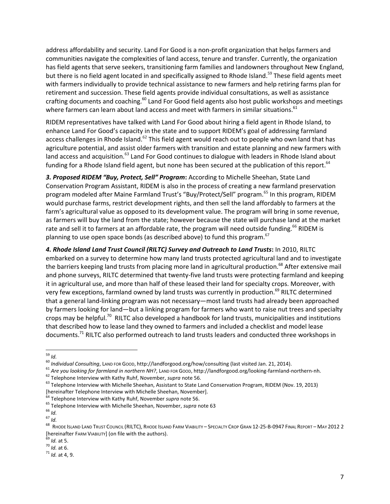address affordability and security. Land For Good is a non-profit organization that helps farmers and communities navigate the complexities of land access, tenure and transfer. Currently, the organization has field agents that serve seekers, transitioning farm families and landowners throughout New England, but there is no field agent located in and specifically assigned to Rhode Island.<sup>59</sup> These field agents meet with farmers individually to provide technical assistance to new farmers and help retiring farms plan for retirement and succession. These field agents provide individual consultations, as well as assistance crafting documents and coaching.<sup>60</sup> Land For Good field agents also host public workshops and meetings where farmers can learn about land access and meet with farmers in similar situations.<sup>61</sup>

RIDEM representatives have talked with Land For Good about hiring a field agent in Rhode Island, to enhance Land For Good's capacity in the state and to support RIDEM's goal of addressing farmland access challenges in Rhode Island.<sup>62</sup> This field agent would reach out to people who own land that has agriculture potential, and assist older farmers with transition and estate planning and new farmers with land access and acquisition.<sup>63</sup> Land For Good continues to dialogue with leaders in Rhode Island about funding for a Rhode Island field agent, but none has been secured at the publication of this report.<sup>64</sup>

<span id="page-9-0"></span>*3. Proposed RIDEM "Buy, Protect, Sell" Program***:** According to Michelle Sheehan, State Land Conservation Program Assistant, RIDEM is also in the process of creating a new farmland preservation program modeled after Maine Farmland Trust's "Buy/Protect/Sell" program.<sup>65</sup> In this program, RIDEM would purchase farms, restrict development rights, and then sell the land affordably to farmers at the farm's agricultural value as opposed to its development value. The program will bring in some revenue, as farmers will buy the land from the state; however because the state will purchase land at the market rate and sell it to farmers at an affordable rate, the program will need outside funding.<sup>66</sup> RIDEM is planning to use open space bonds (as described above) to fund this program.  $67$ 

<span id="page-9-1"></span>*4. Rhode Island Land Trust Council (RILTC) Survey and Outreach to Land Trusts***:** In 2010, RILTC embarked on a survey to determine how many land trusts protected agricultural land and to investigate the barriers keeping land trusts from placing more land in agricultural production.<sup>68</sup> After extensive mail and phone surveys, RILTC determined that twenty-five land trusts were protecting farmland and keeping it in agricultural use, and more than half of these leased their land for specialty crops. Moreover, with very few exceptions, farmland owned by land trusts was currently in production.<sup>69</sup> RILTC determined that a general land-linking program was not necessary—most land trusts had already been approached by farmers looking for land—but a linking program for farmers who want to raise nut trees and specialty crops may be helpful.<sup>70</sup> RILTC also developed a handbook for land trusts, municipalities and institutions that described how to lease land they owned to farmers and included a checklist and model lease documents.<sup>71</sup> RILTC also performed outreach to land trusts leaders and conducted three workshops in

 $\overline{\phantom{a}}$ <sup>59</sup> *Id.*

<sup>60</sup> *Individual Consulting*, LAND FOR GOOD, http://landforgood.org/how/consulting (last visited Jan. 21, 2014).

<sup>61</sup> *Are you looking for farmland in northern NH?*, LAND FOR GOOD, http://landforgood.org/looking-farmland-northern-nh.

<sup>62</sup> Telephone Interview with Kathy Ruhf, November, *supra* not[e 56.](#page-8-2)

<sup>&</sup>lt;sup>63</sup> Telephone Interview with Michelle Sheehan, Assistant to State Land Conservation Program, RIDEM (Nov. 19, 2013) [hereinafter Telephone Interview with Michelle Sheehan, November].

<sup>64</sup> Telephone Interview with Kathy Ruhf, November *supra* not[e 56.](#page-8-2)

<sup>65</sup> Telephone Interview with Michelle Sheehan, November, *supra* not[e 63](#page-9-0)

<sup>66</sup> *Id.*

 $67$  *Id.* 

<sup>&</sup>lt;sup>68</sup> Rhode Island Land Trust Council (RILTC), Rhode Island Farm Viability – Specialty Crop Gran 12-25-B-0947 Final Report – May 2012 2 [hereinafter FARM VIABILITY] (on file with the authors).

<sup>69</sup> *Id.* at 5.

<sup>70</sup> *Id.* at 6.

<sup>71</sup> *Id.* at 4, 9.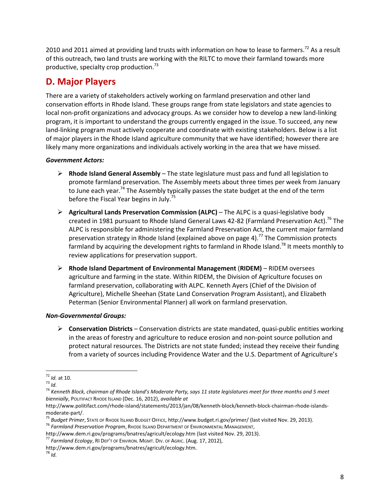2010 and 2011 aimed at providing land trusts with information on how to lease to farmers.<sup>72</sup> As a result of this outreach, two land trusts are working with the RILTC to move their farmland towards more productive, specialty crop production.<sup>73</sup>

### **D. Major Players**

There are a variety of stakeholders actively working on farmland preservation and other land conservation efforts in Rhode Island. These groups range from state legislators and state agencies to local non-profit organizations and advocacy groups. As we consider how to develop a new land-linking program, it is important to understand the groups currently engaged in the issue. To succeed, any new land-linking program must actively cooperate and coordinate with existing stakeholders. Below is a list of major players in the Rhode Island agriculture community that we have identified; however there are likely many more organizations and individuals actively working in the area that we have missed.

#### *Government Actors:*

- **Rhode Island General Assembly** The state legislature must pass and fund all legislation to promote farmland preservation. The Assembly meets about three times per week from January to June each year.<sup>74</sup> The Assembly typically passes the state budget at the end of the term before the Fiscal Year begins in July.<sup>75</sup>
- **Agricultural Lands Preservation Commission (ALPC)**  The ALPC is a quasi-legislative body created in 1981 pursuant to Rhode Island General Laws 42-82 (Farmland Preservation Act).<sup>76</sup> The ALPC is responsible for administering the Farmland Preservation Act, the current major farmland preservation strategy in Rhode Island (explained above on page 4).<sup>77</sup> The Commission protects farmland by acquiring the development rights to farmland in Rhode Island.<sup>78</sup> It meets monthly to review applications for preservation support.
- **Rhode Island Department of Environmental Management** (**RIDEM)** RIDEM oversees agriculture and farming in the state. Within RIDEM, the Division of Agriculture focuses on farmland preservation, collaborating with ALPC. Kenneth Ayers (Chief of the Division of Agriculture), Michelle Sheehan (State Land Conservation Program Assistant), and Elizabeth Peterman (Senior Environmental Planner) all work on farmland preservation.

#### *Non-Governmental Groups:*

 **Conservation Districts** – Conservation districts are state mandated, quasi-public entities working in the areas of forestry and agriculture to reduce erosion and non-point source pollution and protect natural resources. The Districts are not state funded; instead they receive their funding from a variety of sources including Providence Water and the U.S. Department of Agriculture's

 $\overline{\phantom{a}}$ <sup>72</sup> *Id.* at 10.

<sup>73</sup> *Id.*

<sup>74</sup> *Kenneth Block, chairman of Rhode Island's Moderate Party, says 11 state legislatures meet for three months and 5 meet biennially*, POLITIFACT RHODE ISLAND (Dec. 16, 2012), *available at*

http://www.politifact.com/rhode-island/statements/2013/jan/08/kenneth-block/kenneth-block-chairman-rhode-islandsmoderate-part/.

<sup>75</sup> *Budget Primer*, STATE OF RHODE ISLAND BUDGET OFFICE, http://www.budget.ri.gov/primer/ (last visited Nov. 29, 2013).

<sup>76</sup> *Farmland Preservation Program*, RHODE ISLAND DEPARTMENT OF ENVIRONMENTAL MANAGEMENT,

http://www.dem.ri.gov/programs/bnatres/agricult/ecology.htm (last visited Nov. 29, 2013).

<sup>77</sup> *Farmland Ecology*, RI DEP'T OF ENVIRON. MGMT. DIV. OF AGRIC. (Aug. 17, 2012),

http://www.dem.ri.gov/programs/bnatres/agricult/ecology.htm.

<sup>78</sup> *Id.*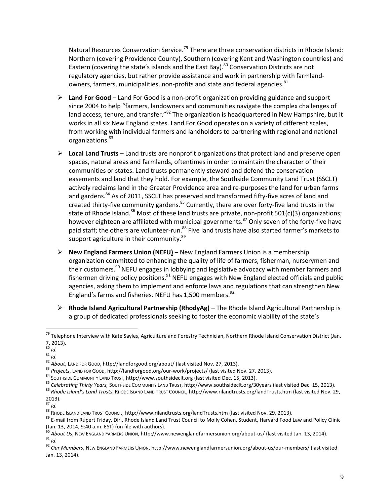Natural Resources Conservation Service.<sup>79</sup> There are three conservation districts in Rhode Island: Northern (covering Providence County), Southern (covering Kent and Washington countries) and Eastern (covering the state's islands and the East Bay).<sup>80</sup> Conservation Districts are not regulatory agencies, but rather provide assistance and work in partnership with farmlandowners, farmers, municipalities, non-profits and state and federal agencies.<sup>81</sup>

- **Land For Good** Land For Good is a non-profit organization providing guidance and support since 2004 to help "farmers, landowners and communities navigate the complex challenges of land access, tenure, and transfer."<sup>82</sup> The organization is headquartered in New Hampshire, but it works in all six New England states. Land For Good operates on a variety of different scales, from working with individual farmers and landholders to partnering with regional and national organizations.<sup>83</sup>
- **Local Land Trusts** Land trusts are nonprofit organizations that protect land and preserve open spaces, natural areas and farmlands, oftentimes in order to maintain the character of their communities or states. Land trusts permanently steward and defend the conservation easements and land that they hold. For example, the Southside Community Land Trust (SSCLT) actively reclaims land in the Greater Providence area and re-purposes the land for urban farms and gardens.<sup>84</sup> As of 2011, SSCLT has preserved and transformed fifty-five acres of land and created thirty-five community gardens.<sup>85</sup> Currently, there are over forty-five land trusts in the state of Rhode Island.<sup>86</sup> Most of these land trusts are private, non-profit 501(c)(3) organizations; however eighteen are affiliated with municipal governments.<sup>87</sup> Only seven of the forty-five have paid staff; the others are volunteer-run.<sup>88</sup> Five land trusts have also started farmer's markets to support agriculture in their community.<sup>89</sup>
- **New England Farmers Union (NEFU)** New England Farmers Union is a membership organization committed to enhancing the quality of life of farmers, fisherman, nurserymen and their customers.<sup>90</sup> NEFU engages in lobbying and legislative advocacy with member farmers and fishermen driving policy positions.  $91$  NEFU engages with New England elected officials and public agencies, asking them to implement and enforce laws and regulations that can strengthen New England's farms and fisheries. NEFU has 1,500 members.<sup>92</sup>
- **Rhode Island Agricultural Partnership (RhodyAg)**  The Rhode Island Agricultural Partnership is a group of dedicated professionals seeking to foster the economic viability of the state's

<sup>&</sup>lt;sup>79</sup> Telephone Interview with Kate Sayles, Agriculture and Forestry Technician, Northern Rhode Island Conservation District (Jan. 7, 2013).

<sup>80</sup> *Id.*

<sup>81</sup> *Id.*

<sup>82</sup> *About*, LAND FOR GOOD, http://landforgood.org/about/ (last visited Nov. 27, 2013).

<sup>83</sup> *Projects*, LAND FOR GOOD, http://landforgood.org/our-work/projects/ (last visited Nov. 27, 2013).

<sup>84</sup> SOUTHSIDE COMMUNITY LAND TRUST, http://www.southsideclt.org (last visited Dec. 15, 2013).

<sup>&</sup>lt;sup>85</sup> Celebrating Thirty Years, SOUTHSIDE COMMUNITY LAND TRUST, http://www.southsideclt.org/30years (last visited Dec. 15, 2013).

<sup>86</sup> *Rhode Island's Land Trusts*, RHODE ISLAND LAND TRUST COUNCIL, http://www.rilandtrusts.org/landTrusts.htm (last visited Nov. 29, 2013).

<sup>87</sup> *Id.*

<sup>88</sup> RHODE ISLAND LAND TRUST COUNCIL, http://www.rilandtrusts.org/landTrusts.htm (last visited Nov. 29, 2013).

<sup>89</sup> E-mail from Rupert Friday, Dir., Rhode Island Land Trust Council to Molly Cohen, Student, Harvard Food Law and Policy Clinic (Jan. 13, 2014, 9:40 a.m. EST) (on file with authors).

<sup>&</sup>lt;sup>90</sup> About Us, New England Farmers Union, http://www.newenglandfarmersunion.org/about-us/ (last visited Jan. 13, 2014). <sup>91</sup> *Id.*

<sup>92</sup> *Our Members*, NEW ENGLAND FARMERS UNION, http://www.newenglandfarmersunion.org/about-us/our-members/ (last visited Jan. 13, 2014).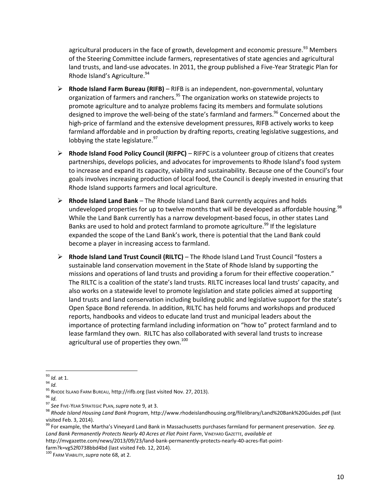agricultural producers in the face of growth, development and economic pressure. $^{93}$  Members of the Steering Committee include farmers, representatives of state agencies and agricultural land trusts, and land-use advocates. In 2011, the group published a Five-Year Strategic Plan for Rhode Island's Agriculture.<sup>94</sup>

- **Rhode Island Farm Bureau (RIFB)**  RIFB is an independent, non-governmental, voluntary organization of farmers and ranchers.<sup>95</sup> The organization works on statewide projects to promote agriculture and to analyze problems facing its members and formulate solutions designed to improve the well-being of the state's farmland and farmers.<sup>96</sup> Concerned about the high-price of farmland and the extensive development pressures, RIFB actively works to keep farmland affordable and in production by drafting reports, creating legislative suggestions, and lobbying the state legislature. $97$
- **Rhode Island Food Policy Council (RIFPC)**  RIFPC is a volunteer group of citizens that creates partnerships, develops policies, and advocates for improvements to Rhode Island's food system to increase and expand its capacity, viability and sustainability. Because one of the Council's four goals involves increasing production of local food, the Council is deeply invested in ensuring that Rhode Island supports farmers and local agriculture.
- **Rhode Island Land Bank**  The Rhode Island Land Bank currently acquires and holds undeveloped properties for up to twelve months that will be developed as affordable housing.<sup>98</sup> While the Land Bank currently has a narrow development-based focus, in other states Land Banks are used to hold and protect farmland to promote agriculture.<sup>99</sup> If the legislature expanded the scope of the Land Bank's work, there is potential that the Land Bank could become a player in increasing access to farmland.
- **Rhode Island Land Trust Council (RILTC)** The Rhode Island Land Trust Council "fosters a sustainable land conservation movement in the State of Rhode Island by supporting the missions and operations of land trusts and providing a forum for their effective cooperation." The RILTC is a coalition of the state's land trusts. RILTC increases local land trusts' capacity, and also works on a statewide level to promote legislation and state policies aimed at supporting land trusts and land conservation including building public and legislative support for the state's Open Space Bond referenda. In addition, RILTC has held forums and workshops and produced reports, handbooks and videos to educate land trust and municipal leaders about the importance of protecting farmland including information on "how to" protect farmland and to lease farmland they own. RILTC has also collaborated with several land trusts to increase agricultural use of properties they own.<sup>100</sup>

<sup>96</sup> *Id.*

http://mvgazette.com/news/2013/09/23/land-bank-permanently-protects-nearly-40-acres-flat-point-

farm?k=vg52f0738bbd4bd (last visited Feb. 12, 2014).

<sup>100</sup> FARM VIABILITY,*supra* not[e 68,](#page-9-1) at 2.

 $\overline{\phantom{a}}$ <sup>93</sup> *Id.* at 1.

<sup>94</sup> *Id.*

<sup>95</sup> RHODE ISLAND FARM BUREAU, http://rifb.org (last visited Nov. 27, 2013).

<sup>97</sup> *See* FIVE-YEAR STRATEGIC PLAN,*supra* not[e 9,](#page-4-2) at 3.

<sup>98</sup> *Rhode Island Housing Land Bank Program*, http://www.rhodeislandhousing.org/filelibrary/Land%20Bank%20Guides.pdf (last visited Feb. 3, 2014).

<sup>99</sup> For example, the Martha's Vineyard Land Bank in Massachusetts purchases farmland for permanent preservation. *See eg. Land Bank Permanently Protects Nearly 40 Acres at Flat Point Farm*, VINEYARD GAZETTE, *available at*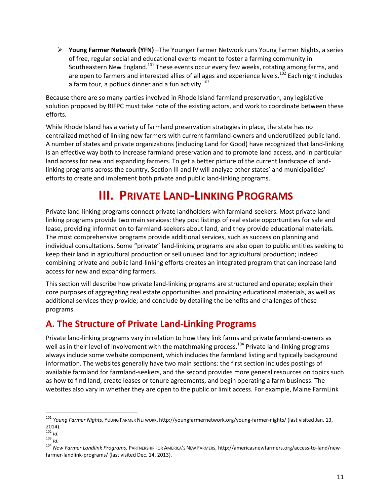**Young Farmer Network (YFN)** –The Younger Farmer Network runs Young Farmer Nights, a series of free, regular social and educational events meant to foster a farming community in Southeastern New England.<sup>101</sup> These events occur every few weeks, rotating among farms, and are open to farmers and interested allies of all ages and experience levels.<sup>102</sup> Each night includes a farm tour, a potluck dinner and a fun activity. $^{103}$ 

Because there are so many parties involved in Rhode Island farmland preservation, any legislative solution proposed by RIFPC must take note of the existing actors, and work to coordinate between these efforts.

While Rhode Island has a variety of farmland preservation strategies in place, the state has no centralized method of linking new farmers with current farmland-owners and underutilized public land. A number of states and private organizations (including Land for Good) have recognized that land-linking is an effective way both to increase farmland preservation and to promote land access, and in particular land access for new and expanding farmers. To get a better picture of the current landscape of landlinking programs across the country, Section III and IV will analyze other states' and municipalities' efforts to create and implement both private and public land-linking programs.

## **III. PRIVATE LAND-LINKING PROGRAMS**

<span id="page-13-0"></span>Private land-linking programs connect private landholders with farmland-seekers. Most private landlinking programs provide two main services: they post listings of real estate opportunities for sale and lease, providing information to farmland-seekers about land, and they provide educational materials. The most comprehensive programs provide additional services, such as succession planning and individual consultations. Some "private" land-linking programs are also open to public entities seeking to keep their land in agricultural production or sell unused land for agricultural production; indeed combining private and public land-linking efforts creates an integrated program that can increase land access for new and expanding farmers.

This section will describe how private land-linking programs are structured and operate; explain their core purposes of aggregating real estate opportunities and providing educational materials, as well as additional services they provide; and conclude by detailing the benefits and challenges of these programs.

### **A. The Structure of Private Land-Linking Programs**

Private land-linking programs vary in relation to how they link farms and private farmland-owners as well as in their level of involvement with the matchmaking process.<sup>104</sup> Private land-linking programs always include some website component, which includes the farmland listing and typically background information. The websites generally have two main sections: the first section includes postings of available farmland for farmland-seekers, and the second provides more general resources on topics such as how to find land, create leases or tenure agreements, and begin operating a farm business. The websites also vary in whether they are open to the public or limit access. For example, Maine FarmLink

<sup>101</sup> *Young Farmer Nights*, YOUNG FARMER NETWORK, http://youngfarmernetwork.org/young-farmer-nights/ (last visited Jan. 13, 2014).

 $rac{102}{102}$  *Id.* 

 $103 \frac{101}{10}$ 

<sup>104</sup> *New Farmer Landlink Programs,* PARTNERSHIP FOR AMERICA'S NEW FARMERS, http://americasnewfarmers.org/access-to-land/newfarmer-landlink-programs/ (last visited Dec. 14, 2013).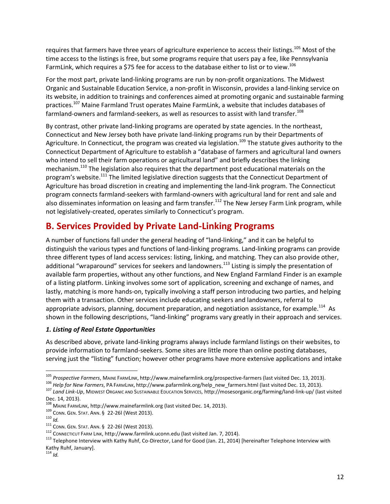requires that farmers have three years of agriculture experience to access their listings.<sup>105</sup> Most of the time access to the listings is free, but some programs require that users pay a fee, like Pennsylvania FarmLink, which requires a \$75 fee for access to the database either to list or to view.<sup>106</sup>

For the most part, private land-linking programs are run by non-profit organizations. The Midwest Organic and Sustainable Education Service, a non-profit in Wisconsin, provides a land-linking service on its website, in addition to trainings and conferences aimed at promoting organic and sustainable farming practices.<sup>107</sup> Maine Farmland Trust operates Maine FarmLink, a website that includes databases of farmland-owners and farmland-seekers, as well as resources to assist with land transfer.<sup>108</sup>

By contrast, other private land-linking programs are operated by state agencies. In the northeast, Connecticut and New Jersey both have private land-linking programs run by their Departments of Agriculture. In Connecticut, the program was created via legislation.<sup>109</sup> The statute gives authority to the Connecticut Department of Agriculture to establish a "database of farmers and agricultural land owners who intend to sell their farm operations or agricultural land" and briefly describes the linking mechanism.<sup>110</sup> The legislation also requires that the department post educational materials on the program's website.<sup>111</sup> The limited legislative direction suggests that the Connecticut Department of Agriculture has broad discretion in creating and implementing the land-link program. The Connecticut program connects farmland-seekers with farmland-owners with agricultural land for rent and sale and also disseminates information on leasing and farm transfer.<sup>112</sup> The New Jersey Farm Link program, while not legislatively-created, operates similarly to Connecticut's program.

### **B. Services Provided by Private Land-Linking Programs**

<span id="page-14-0"></span>A number of functions fall under the general heading of "land-linking," and it can be helpful to distinguish the various types and functions of land-linking programs. Land-linking programs can provide three different types of land access services: listing, linking, and matching. They can also provide other, additional "wraparound" services for seekers and landowners.<sup>113</sup> Listing is simply the presentation of available farm properties, without any other functions, and New England Farmland Finder is an example of a listing platform. Linking involves some sort of application, screening and exchange of names, and lastly, matching is more hands-on, typically involving a staff person introducing two parties, and helping them with a transaction. Other services include educating seekers and landowners, referral to appropriate advisors, planning, document preparation, and negotiation assistance, for example.<sup>114</sup> As shown in the following descriptions, "land-linking" programs vary greatly in their approach and services.

#### *1. Listing of Real Estate Opportunities*

As described above, private land-linking programs always include farmland listings on their websites, to provide information to farmland-seekers. Some sites are little more than online posting databases, serving just the "listing" function; however other programs have more extensive applications and intake

<sup>106</sup> *Help for New Farmers*, PA FARMLINK, [http://www.pafarmlink.org/help\\_new\\_farmers.html](http://www.pafarmlink.org/help_new_farmers.html) (last visited Dec. 13, 2013).

 $\overline{\phantom{a}}$ <sup>105</sup> *Prospective Farmers*, MAINE FARMLINK, <http://www.mainefarmlink.org/prospective-farmers> (last visited Dec. 13, 2013).

<sup>107</sup> *Land Link-Up*, MIDWEST ORGANIC AND SUSTAINABLE EDUCATION SERVICES, http://mosesorganic.org/farming/land-link-up/ (last visited Dec. 14, 2013).

<sup>108</sup> MAINE FARMLINK, http://www.mainefarmlink.org (last visited Dec. 14, 2013).

<sup>109</sup> CONN. GEN. STAT. ANN. § 22-26l (West 2013).

<sup>110</sup> *Id.*

<sup>111</sup> CONN. GEN. STAT. ANN. § 22-26l (West 2013).

<sup>112</sup> CONNECTICUT FARM LINK, http://www.farmlink.uconn.edu (last visited Jan. 7, 2014).

<sup>&</sup>lt;sup>113</sup> Telephone Interview with Kathy Ruhf, Co-Director, Land for Good (Jan. 21, 2014) [hereinafter Telephone Interview with Kathy Ruhf, January].

<sup>114</sup> *Id.*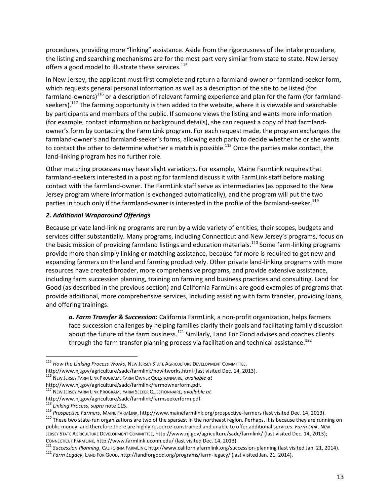procedures, providing more "linking" assistance. Aside from the rigorousness of the intake procedure, the listing and searching mechanisms are for the most part very similar from state to state. New Jersey offers a good model to illustrate these services. 115

<span id="page-15-0"></span>In New Jersey, the applicant must first complete and return a farmland-owner or farmland-seeker form, which requests general personal information as well as a description of the site to be listed (for farmland-owners)<sup>116</sup> or a description of relevant farming experience and plan for the farm (for farmlandseekers).<sup>117</sup> The farming opportunity is then added to the website, where it is viewable and searchable by participants and members of the public. If someone views the listing and wants more information (for example, contact information or background details), she can request a copy of that farmlandowner's form by contacting the Farm Link program. For each request made, the program exchanges the farmland-owner's and farmland-seeker's forms, allowing each party to decide whether he or she wants to contact the other to determine whether a match is possible.<sup>118</sup> Once the parties make contact, the land-linking program has no further role.

Other matching processes may have slight variations. For example, Maine FarmLink requires that farmland-seekers interested in a posting for farmland discuss it with FarmLink staff before making contact with the farmland-owner. The FarmLink staff serve as intermediaries (as opposed to the New Jersey program where information is exchanged automatically), and the program will put the two parties in touch only if the farmland-owner is interested in the profile of the farmland-seeker.<sup>119</sup>

#### *2. Additional Wraparound Offerings*

Because private land-linking programs are run by a wide variety of entities, their scopes, budgets and services differ substantially. Many programs, including Connecticut and New Jersey's programs, focus on the basic mission of providing farmland listings and education materials.<sup>120</sup> Some farm-linking programs provide more than simply linking or matching assistance, because far more is required to get new and expanding farmers on the land and farming productively. Other private land-linking programs with more resources have created broader, more comprehensive programs, and provide extensive assistance, including farm succession planning, training on farming and business practices and consulting. Land for Good (as described in the previous section) and California FarmLink are good examples of programs that provide additional, more comprehensive services, including assisting with farm transfer, providing loans, and offering trainings.

*a. Farm Transfer & Succession:* California FarmLink, a non-profit organization, helps farmers face succession challenges by helping families clarify their goals and facilitating family discussion about the future of the farm business.<sup>121</sup> Similarly, Land For Good advises and coaches clients through the farm transfer planning process via facilitation and technical assistance.<sup>122</sup>

http://www.nj.gov/agriculture/sadc/farmlink/howitworks.html (last visited Dec. 14, 2013).

<sup>115</sup> *How the Linking Process Works*, NEW JERSEY STATE AGRICULTURE DEVELOPMENT COMMITTEE,

<sup>116</sup> NEW JERSEY FARM LINK PROGRAM, FARM OWNER QUESTIONNAIRE*, available at*

http://www.nj.gov/agriculture/sadc/farmlink/farmownerform.pdf.

<sup>117</sup> NEW JERSEY FARM LINK PROGRAM, FARM SEEKER QUESTIONNAIRE*, available at* 

http://www.nj.gov/agriculture/sadc/farmlink/farmseekerform.pdf.

<sup>118</sup> *Linking Process*, *supra* note [115.](#page-15-0)

<sup>119</sup> *Prospective Farmers*, MAINE FARMLINK, http://www.mainefarmlink.org/prospective-farmers (last visited Dec. 14, 2013).

<sup>&</sup>lt;sup>120</sup> These two state-run organizations are two of the sparsest in the northeast region. Perhaps, it is because they are running on public money, and therefore there are highly resource-constrained and unable to offer additional services. *Farm Link*, NEW JERSEY STATE AGRICULTURE DEVELOPMENT COMMITTEE, http://www.nj.gov/agriculture/sadc/farmlink/ (last visited Dec. 14, 2013); CONNECTICUT FARMLINK, http://www.farmlink.uconn.edu/ (last visited Dec. 14, 2013).

<sup>121</sup> *Succession Planning*, CALIFORNIA FARMLINK, http://www.californiafarmlink.org/succession-planning (last visited Jan. 21, 2014).

<sup>122</sup> *Farm Legacy*, LAND FOR GOOD, http://landforgood.org/programs/farm-legacy/ (last visited Jan. 21, 2014).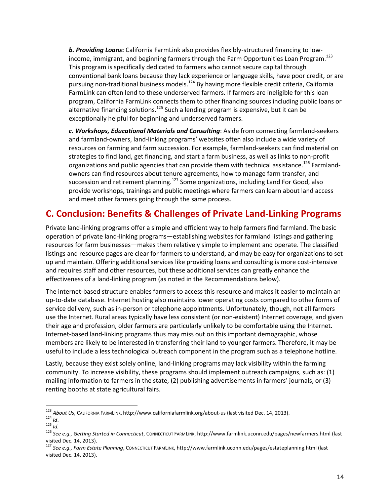*b. Providing Loans***:** California FarmLink also provides flexibly-structured financing to lowincome, immigrant, and beginning farmers through the Farm Opportunities Loan Program.<sup>123</sup> This program is specifically dedicated to farmers who cannot secure capital through conventional bank loans because they lack experience or language skills, have poor credit, or are pursuing non-traditional business models.<sup>124</sup> By having more flexible credit criteria, California FarmLink can often lend to these underserved farmers. If farmers are ineligible for this loan program, California FarmLink connects them to other financing sources including public loans or alternative financing solutions.<sup>125</sup> Such a lending program is expensive, but it can be exceptionally helpful for beginning and underserved farmers.

*c. Workshops, Educational Materials and Consulting*: Aside from connecting farmland-seekers and farmland-owners, land-linking programs' websites often also include a wide variety of resources on farming and farm succession. For example, farmland-seekers can find material on strategies to find land, get financing, and start a farm business, as well as links to non-profit organizations and public agencies that can provide them with technical assistance.<sup>126</sup> Farmlandowners can find resources about tenure agreements, how to manage farm transfer, and succession and retirement planning.<sup>127</sup> Some organizations, including Land For Good, also provide workshops, trainings and public meetings where farmers can learn about land access and meet other farmers going through the same process.

## **C. Conclusion: Benefits & Challenges of Private Land-Linking Programs**

Private land-linking programs offer a simple and efficient way to help farmers find farmland. The basic operation of private land-linking programs—establishing websites for farmland listings and gathering resources for farm businesses—makes them relatively simple to implement and operate. The classified listings and resource pages are clear for farmers to understand, and may be easy for organizations to set up and maintain. Offering additional services like providing loans and consulting is more cost-intensive and requires staff and other resources, but these additional services can greatly enhance the effectiveness of a land-linking program (as noted in the Recommendations below).

The internet-based structure enables farmers to access this resource and makes it easier to maintain an up-to-date database. Internet hosting also maintains lower operating costs compared to other forms of service delivery, such as in-person or telephone appointments. Unfortunately, though, not all farmers use the Internet. Rural areas typically have less consistent (or non-existent) Internet coverage, and given their age and profession, older farmers are particularly unlikely to be comfortable using the Internet. Internet-based land-linking programs thus may miss out on this important demographic, whose members are likely to be interested in transferring their land to younger farmers. Therefore, it may be useful to include a less technological outreach component in the program such as a telephone hotline.

Lastly, because they exist solely online, land-linking programs may lack visibility within the farming community. To increase visibility, these programs should implement outreach campaigns, such as: (1) mailing information to farmers in the state, (2) publishing advertisements in farmers' journals, or (3) renting booths at state agricultural fairs.

 $\overline{a}$ <sup>123</sup> *About Us*, CALIFORNIA FARMLINK, http://www.californiafarmlink.org/about-us (last visited Dec. 14, 2013).  $124$  *Id.* 

<sup>125</sup> *Id.*

<sup>126</sup> *See e.g., Getting Started in Connecticut*, CONNECTICUT FARMLINK, http://www.farmlink.uconn.edu/pages/newfarmers.html (last visited Dec. 14, 2013).

<sup>127</sup> *See e.g., Farm Estate Planning*, CONNECTICUT FARMLINK, http://www.farmlink.uconn.edu/pages/estateplanning.html (last visited Dec. 14, 2013).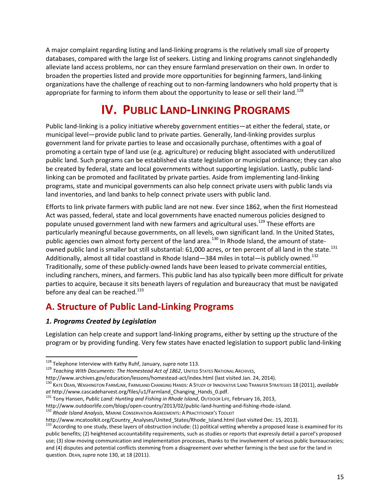A major complaint regarding listing and land-linking programs is the relatively small size of property databases, compared with the large list of seekers. Listing and linking programs cannot singlehandedly alleviate land access problems, nor can they ensure farmland preservation on their own. In order to broaden the properties listed and provide more opportunities for beginning farmers, land-linking organizations have the challenge of reaching out to non-farming landowners who hold property that is appropriate for farming to inform them about the opportunity to lease or sell their land.<sup>128</sup>

## **IV. PUBLIC LAND-LINKING PROGRAMS**

<span id="page-17-0"></span>Public land-linking is a policy initiative whereby government entities—at either the federal, state, or municipal level—provide public land to private parties. Generally, land-linking provides surplus government land for private parties to lease and occasionally purchase, oftentimes with a goal of promoting a certain type of land use (e.g. agriculture) or reducing blight associated with underutilized public land. Such programs can be established via state legislation or municipal ordinance; they can also be created by federal, state and local governments without supporting legislation. Lastly, public landlinking can be promoted and facilitated by private parties. Aside from implementing land-linking programs, state and municipal governments can also help connect private users with public lands via land inventories, and land banks to help connect private users with public land.

<span id="page-17-1"></span>Efforts to link private farmers with public land are not new. Ever since 1862, when the first Homestead Act was passed, federal, state and local governments have enacted numerous policies designed to populate unused government land with new farmers and agricultural uses.<sup>129</sup> These efforts are particularly meaningful because governments, on all levels, own significant land. In the United States, public agencies own almost forty percent of the land area.<sup>130</sup> In Rhode Island, the amount of stateowned public land is smaller but still substantial: 61,000 acres, or ten percent of all land in the state.<sup>131</sup> Additionally, almost all tidal coastland in Rhode Island—384 miles in total—is publicly owned.<sup>132</sup> Traditionally, some of these publicly-owned lands have been leased to private commercial entities, including ranchers, miners, and farmers. This public land has also typically been more difficult for private parties to acquire, because it sits beneath layers of regulation and bureaucracy that must be navigated before any deal can be reached.<sup>133</sup>

### **A. Structure of Public Land-Linking Programs**

#### *1. Programs Created by Legislation*

 $\overline{\phantom{a}}$ 

Legislation can help create and support land-linking programs, either by setting up the structure of the program or by providing funding. Very few states have enacted legislation to support public land-linking

<sup>128</sup> Telephone Interview with Kathy Ruhf, January, *supra* note [113.](#page-14-0)

<sup>129</sup> *Teaching With Documents: The Homestead Act of 1862*, UNITED STATES NATIONAL ARCHIVES,

http://www.archives.gov/education/lessons/homestead-act/index.html (last visited Jan. 24, 2014).

<sup>130</sup> KATE DEAN, WASHINGTON FARMLINK, FARMLAND CHANGING HANDS: A STUDY OF INNOVATIVE LAND TRANSFER STRATEGIES 18 (2011), *available at* http://www.cascadeharvest.org/files/u1/Farmland\_Changing\_Hands\_0.pdf.

<sup>&</sup>lt;sup>131</sup> Tony Hansen, *Public Land: Hunting and Fishing in Rhode Island*, OUTDOOR LIFE, February 16, 2013,

http://www.outdoorlife.com/blogs/open-country/2013/02/public-land-hunting-and-fishing-rhode-island.

<sup>132</sup> *Rhode Island Analysis*, MARINE CONSERVATION AGREEMENTS: A PRACTITIONER'S TOOLKIT

http://www.mcatoolkit.org/Country\_Analyses/United\_States/Rhode\_Island.html (last visited Dec. 15, 2013).

<sup>133</sup> According to one study, these layers of obstruction include: (1) political vetting whereby a proposed lease is examined for its public benefits; (2) heightened accountability requirements, such as studies or reports that expressly detail a parcel's proposed use; (3) slow-moving communication and implementation processes, thanks to the involvement of various public bureaucracies; and (4) disputes and potential conflicts stemming from a disagreement over whether farming is the best use for the land in question. DEAN,*supra* note [130,](#page-17-1) at 18 (2011).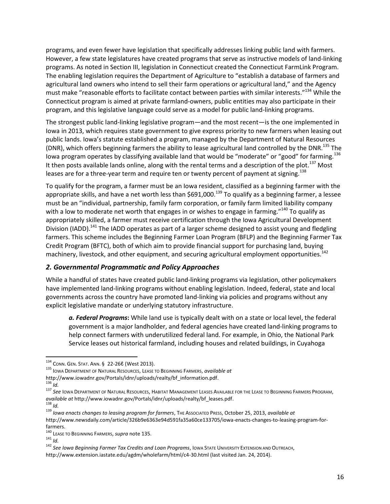programs, and even fewer have legislation that specifically addresses linking public land with farmers. However, a few state legislatures have created programs that serve as instructive models of land-linking programs. As noted in Sectio[n III,](#page-13-0) legislation in Connecticut created the Connecticut FarmLink Program. The enabling legislation requires the Department of Agriculture to "establish a database of farmers and agricultural land owners who intend to sell their farm operations or agricultural land," and the Agency must make "reasonable efforts to facilitate contact between parties with similar interests." <sup>134</sup> While the Connecticut program is aimed at private farmland-owners, public entities may also participate in their program, and this legislative language could serve as a model for public land-linking programs.

<span id="page-18-0"></span>The strongest public land-linking legislative program—and the most recent—is the one implemented in Iowa in 2013, which requires state government to give express priority to new farmers when leasing out public lands. Iowa's statute established a program, managed by the Department of Natural Resources (DNR), which offers beginning farmers the ability to lease agricultural land controlled by the DNR.<sup>135</sup> The Iowa program operates by classifying available land that would be "moderate" or "good" for farming.<sup>136</sup> It then posts available lands online, along with the rental terms and a description of the plot.<sup>137</sup> Most leases are for a three-year term and require ten or twenty percent of payment at signing.<sup>138</sup>

To qualify for the program, a farmer must be an Iowa resident, classified as a beginning farmer with the appropriate skills, and have a net worth less than \$691,000.<sup>139</sup> To qualify as a beginning farmer, a lessee must be an "individual, partnership, family farm corporation, or family farm limited liability company with a low to moderate net worth that engages in or wishes to engage in farming."<sup>140</sup> To qualify as appropriately skilled, a farmer must receive certification through the Iowa Agricultural Development Division (IADD).<sup>141</sup> The IADD operates as part of a larger scheme designed to assist young and fledgling farmers. This scheme includes the Beginning Farmer Loan Program (BFLP) and the Beginning Farmer Tax Credit Program (BFTC), both of which aim to provide financial support for purchasing land, buying machinery, livestock, and other equipment, and securing agricultural employment opportunities.<sup>142</sup>

#### *2. Governmental Programmatic and Policy Approaches*

While a handful of states have created public land-linking programs via legislation, other policymakers have implemented land-linking programs without enabling legislation. Indeed, federal, state and local governments across the country have promoted land-linking via policies and programs without any explicit legislative mandate or underlying statutory infrastructure.

*a. Federal Programs***:** While land use is typically dealt with on a state or local level, the federal government is a major landholder, and federal agencies have created land-linking programs to help connect farmers with underutilized federal land. For example, in Ohio, the National Park Service leases out historical farmland, including houses and related buildings, in Cuyahoga

 $\overline{\phantom{a}}$ 

 $138$  *Id.* 

<sup>134</sup> CONN. GEN. STAT. ANN. § 22-26 $\ell$  (West 2013).

<sup>135</sup> IOWA DEPARTMENT OF NATURAL RESOURCES, LEASE TO BEGINNING FARMERS, *available at*

http://www.iowadnr.gov/Portals/idnr/uploads/realty/bf information.pdf.

<sup>136</sup> *Id.*

<sup>137</sup> *See* IOWA DEPARTMENT OF NATURAL RESOURCES, HABITAT MANAGEMENT LEASES AVAILABLE FOR THE LEASE TO BEGINNING FARMERS PROGRAM, *available at* http://www.iowadnr.gov/Portals/idnr/uploads/realty/bf\_leases.pdf.

<sup>139</sup> *Iowa enacts changes to leasing program for farmers*, THE ASSOCIATED PRESS, October 25, 2013, *available at* http://www.newsdaily.com/article/326b9e6363e94d591fa35a60ce133705/iowa-enacts-changes-to-leasing-program-forfarmers.

<sup>140</sup> LEASE TO BEGINNING FARMERS, *supra* note [135.](#page-18-0)

<sup>141</sup> *Id.*

<sup>142</sup> *See Iowa Beginning Farmer Tax Credits and Loan Programs*, IOWA STATE UNIVERSITY EXTENSION AND OUTREACH,

http://www.extension.iastate.edu/agdm/wholefarm/html/c4-30.html (last visited Jan. 24, 2014).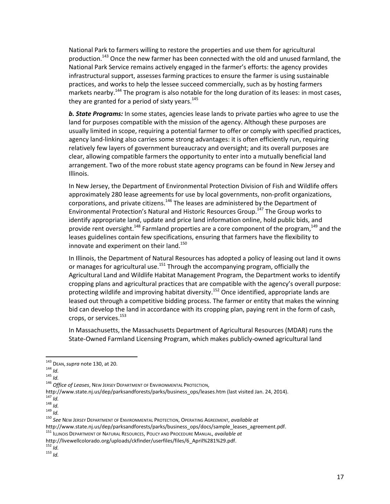National Park to farmers willing to restore the properties and use them for agricultural production.<sup>143</sup> Once the new farmer has been connected with the old and unused farmland, the National Park Service remains actively engaged in the farmer's efforts: the agency provides infrastructural support, assesses farming practices to ensure the farmer is using sustainable practices, and works to help the lessee succeed commercially, such as by hosting farmers markets nearby.<sup>144</sup> The program is also notable for the long duration of its leases: in most cases, they are granted for a period of sixty years. $145$ 

*b. State Programs:* In some states, agencies lease lands to private parties who agree to use the land for purposes compatible with the mission of the agency. Although these purposes are usually limited in scope, requiring a potential farmer to offer or comply with specified practices, agency land-linking also carries some strong advantages: it is often efficiently run, requiring relatively few layers of government bureaucracy and oversight; and its overall purposes are clear, allowing compatible farmers the opportunity to enter into a mutually beneficial land arrangement. Two of the more robust state agency programs can be found in New Jersey and Illinois.

In New Jersey, the Department of Environmental Protection Division of Fish and Wildlife offers approximately 280 lease agreements for use by local governments, non-profit organizations, corporations, and private citizens.<sup>146</sup> The leases are administered by the Department of Environmental Protection's Natural and Historic Resources Group.<sup>147</sup> The Group works to identify appropriate land, update and price land information online, hold public bids, and provide rent oversight.<sup>148</sup> Farmland properties are a core component of the program,<sup>149</sup> and the leases guidelines contain few specifications, ensuring that farmers have the flexibility to innovate and experiment on their land.<sup>150</sup>

In Illinois, the Department of Natural Resources has adopted a policy of leasing out land it owns or manages for agricultural use.<sup>151</sup> Through the accompanying program, officially the Agricultural Land and Wildlife Habitat Management Program, the Department works to identify cropping plans and agricultural practices that are compatible with the agency's overall purpose: protecting wildlife and improving habitat diversity.<sup>152</sup> Once identified, appropriate lands are leased out through a competitive bidding process. The farmer or entity that makes the winning bid can develop the land in accordance with its cropping plan, paying rent in the form of cash, crops, or services.<sup>153</sup>

In Massachusetts, the Massachusetts Department of Agricultural Resources (MDAR) runs the State-Owned Farmland Licensing Program, which makes publicly-owned agricultural land

<sup>143</sup> DEAN,*supra* note [130,](#page-17-1) at 20.

 $144$  *Id.* 

<sup>145</sup> *Id.*

<sup>146</sup> *Office of Leases*, NEW JERSEY DEPARTMENT OF ENVIRONMENTAL PROTECTION,

http://www.state.nj.us/dep/parksandforests/parks/business\_ops/leases.htm (last visited Jan. 24, 2014).

 $147$  *Id.* <sup>148</sup> *Id.*

<sup>149</sup> *Id.*

<sup>150</sup> *See* NEW JERSEY DEPARTMENT OF ENVIRONMENTAL PROTECTION, OPERATING AGREEMENT, *available at*

http://www.state.nj.us/dep/parksandforests/parks/business\_ops/docs/sample\_leases\_agreement.pdf.

<sup>151</sup> ILLINOIS DEPARTMENT OF NATURAL RESOURCES, POLICY AND PROCEDURE MANUAL, *available at* 

http://livewellcolorado.org/uploads/ckfinder/userfiles/files/6\_April%281%29.pdf.

 $152$  *Id.* 

<sup>153</sup> *Id.*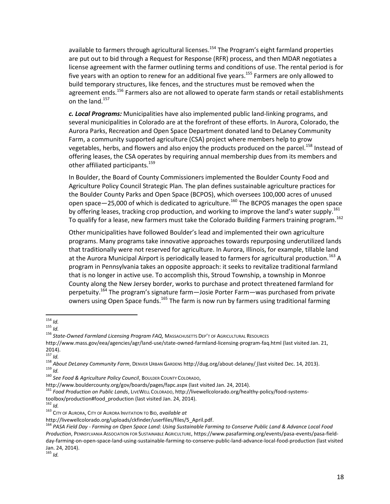available to farmers through agricultural licenses.<sup>154</sup> The Program's eight farmland properties are put out to bid through a Request for Response (RFR) process, and then MDAR negotiates a license agreement with the farmer outlining terms and conditions of use. The rental period is for five years with an option to renew for an additional five years.<sup>155</sup> Farmers are only allowed to build temporary structures, like fences, and the structures must be removed when the agreement ends.<sup>156</sup> Farmers also are not allowed to operate farm stands or retail establishments on the land.<sup>157</sup>

*c. Local Programs:* Municipalities have also implemented public land-linking programs, and several municipalities in Colorado are at the forefront of these efforts. In Aurora, Colorado, the Aurora Parks, Recreation and Open Space Department donated land to DeLaney Community Farm, a community supported agriculture (CSA) project where members help to grow vegetables, herbs, and flowers and also enjoy the products produced on the parcel.<sup>158</sup> Instead of offering leases, the CSA operates by requiring annual membership dues from its members and other affiliated participants.<sup>159</sup>

In Boulder, the Board of County Commissioners implemented the Boulder County Food and Agriculture Policy Council Strategic Plan. The plan defines sustainable agriculture practices for the Boulder County Parks and Open Space (BCPOS), which oversees 100,000 acres of unused open space  $-25,000$  of which is dedicated to agriculture.<sup>160</sup> The BCPOS manages the open space by offering leases, tracking crop production, and working to improve the land's water supply.<sup>161</sup> To qualify for a lease, new farmers must take the Colorado Building Farmers training program.<sup>162</sup>

Other municipalities have followed Boulder's lead and implemented their own agriculture programs. Many programs take innovative approaches towards repurposing underutilized lands that traditionally were not reserved for agriculture. In Aurora, Illinois, for example, tillable land at the Aurora Municipal Airport is periodically leased to farmers for agricultural production.<sup>163</sup> A program in Pennsylvania takes an opposite approach: it seeks to revitalize traditional farmland that is no longer in active use. To accomplish this, Stroud Township, a township in Monroe County along the New Jersey border, works to purchase and protect threatened farmland for perpetuity.<sup>164</sup> The program's signature farm—Josie Porter Farm—was purchased from private owners using Open Space funds.<sup>165</sup> The farm is now run by farmers using traditional farming

<sup>155</sup> *Id.*

 $165$  *Id.* 

l <sup>154</sup> *Id.*

<sup>156</sup> *State-Owned Farmland Licensing Program FAQ*, MASSACHUSETTS DEP'T OF AGRICULTURAL RESOURCES

http://www.mass.gov/eea/agencies/agr/land-use/state-owned-farmland-licensing-program-faq.html (last visited Jan. 21, 2014).

<sup>157</sup> *Id.*

<sup>158</sup> *About DeLaney Community Farm*, DENVER URBAN GARDENS http://dug.org/about-delaney/ (last visited Dec. 14, 2013). <sup>159</sup> *Id.*

<sup>160</sup> *See Food & Agriculture Policy Council*, BOULDER COUNTY COLORADO,

http://www.bouldercounty.org/gov/boards/pages/fapc.aspx (last visited Jan. 24, 2014).

<sup>161</sup> *Food Production on Public Lands*, LIVEWELL COLORADO, http://livewellcolorado.org/healthy-policy/food-systemstoolbox/production#food\_production (last visited Jan. 24, 2014).

 $162$  *Id.* 

<sup>163</sup> CITY OF AURORA, CITY OF AURORA INVITATION TO BID, *available at* 

http://livewellcolorado.org/uploads/ckfinder/userfiles/files/5\_April.pdf.

<sup>164</sup> *PASA Field Day - Farming on Open Space Land: Using Sustainable Farming to Conserve Public Land & Advance Local Food Production*, PENNSYLVANIA ASSOCIATION FOR SUSTAINABLE AGRICULTURE, https://www.pasafarming.org/events/pasa-events/pasa-fieldday-farming-on-open-space-land-using-sustainable-farming-to-conserve-public-land-advance-local-food-production (last visited Jan. 24, 2014).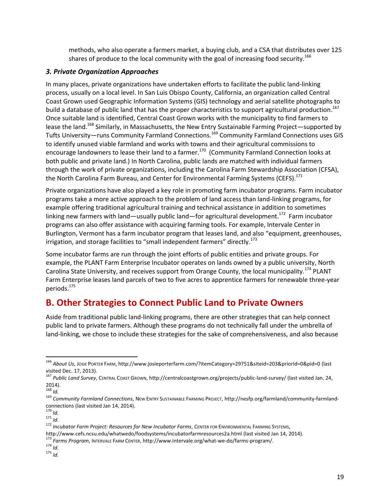methods, who also operate a farmers market, a buying club, and a CSA that distributes over 125 shares of produce to the local community with the goal of increasing food security.<sup>166</sup>

#### *3. Private Organization Approaches*

In many places, private organizations have undertaken efforts to facilitate the public land-linking process, usually on a local level. In San Luis Obispo County, California, an organization called Central Coast Grown used Geographic Information Systems (GIS) technology and aerial satellite photographs to build a database of public land that has the proper characteristics to support agricultural production.<sup>167</sup> Once suitable land is identified, Central Coast Grown works with the municipality to find farmers to lease the land.<sup>168</sup> Similarly, in Massachusetts, the New Entry Sustainable Farming Project—supported by Tufts University—runs Community Farmland Connections.<sup>169</sup> Community Farmland Connections uses GIS to identify unused viable farmland and works with towns and their agricultural commissions to encourage landowners to lease their land to a farmer.<sup>170</sup> (Community Farmland Connection looks at both public and private land.) In North Carolina, public lands are matched with individual farmers through the work of private organizations, including the Carolina Farm Stewardship Association (CFSA), the North Carolina Farm Bureau, and Center for Environmental Farming Systems (CEFS).<sup>171</sup>

Private organizations have also played a key role in promoting farm incubator programs. Farm incubator programs take a more active approach to the problem of land access than land-linking programs, for example offering traditional agricultural training and technical assistance in addition to sometimes linking new farmers with land—usually public land—for agricultural development.<sup>172</sup> Farm incubator programs can also offer assistance with acquiring farming tools. For example, Intervale Center in Burlington, Vermont has a farm incubator program that leases land, and also "equipment, greenhouses, irrigation, and storage facilities to "small independent farmers" directly.<sup>173</sup>

Some incubator farms are run through the joint efforts of public entities and private groups. For example, the PLANT Farm Enterprise Incubator operates on lands owned by a public university, North Carolina State University, and receives support from Orange County, the local municipality.<sup>174</sup> PLANT Farm Enterprise leases land parcels of two to five acres to apprentice farmers for renewable three-year periods.<sup>175</sup>

### **B. Other Strategies to Connect Public Land to Private Owners**

Aside from traditional public land-linking programs, there are other strategies that can help connect public land to private farmers. Although these programs do not technically fall under the umbrella of land-linking, we chose to include these strategies for the sake of comprehensiveness, and also because

<sup>174</sup> *Id.* <sup>175</sup> *Id.*

 $\overline{\phantom{a}}$ <sup>166</sup> *About Us,* JOSIE PORTER FARM, http://www.josieporterfarm.com/?itemCategory=29751&siteid=203&priorId=0&pid=0 (last visited Dec. 17, 2013).

<sup>167</sup> *Public Land Survey*, CENTRAL COAST GROWN, http://centralcoastgrown.org/projects/public-land-survey/ (last visited Jan. 24, 2014).

<sup>168</sup> *Id.*

<sup>169</sup> *Community Farmland Connections*, NEW ENTRY SUSTAINABLE FARMING PROJECT, http://nesfp.org/farmland/community-farmlandconnections (last visited Jan 14, 2014).

<sup>170</sup> *Id.*

<sup>171</sup> *Id.*

<sup>172</sup> *Incubator Farm Project: Resources for New Incubator Farms*, CENTER FOR ENVIRONMENTAL FARMING SYSTEMS,

http://www.cefs.ncsu.edu/whatwedo/foodsystems/incubatorfarmresources2a.html (last visited Jan 14, 2014).

<sup>173</sup> *Farms Program*, INTERVALE FARM CENTER, http://www.intervale.org/what-we-do/farms-program/.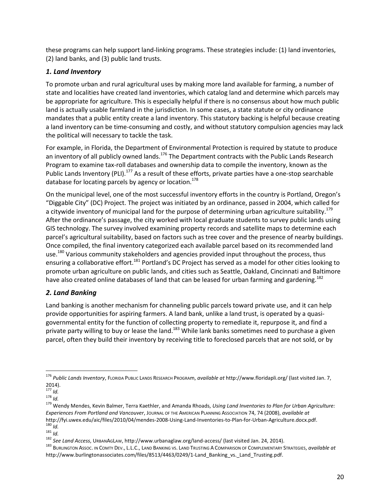these programs can help support land-linking programs. These strategies include: (1) land inventories, (2) land banks, and (3) public land trusts.

#### *1. Land Inventory*

To promote urban and rural agricultural uses by making more land available for farming, a number of state and localities have created land inventories, which catalog land and determine which parcels may be appropriate for agriculture. This is especially helpful if there is no consensus about how much public land is actually usable farmland in the jurisdiction. In some cases, a state statute or city ordinance mandates that a public entity create a land inventory. This statutory backing is helpful because creating a land inventory can be time-consuming and costly, and without statutory compulsion agencies may lack the political will necessary to tackle the task.

For example, in Florida, the Department of Environmental Protection is required by statute to produce an inventory of all publicly owned lands.<sup>176</sup> The Department contracts with the Public Lands Research Program to examine tax-roll databases and ownership data to compile the inventory, known as the Public Lands Inventory (PLI).<sup>177</sup> As a result of these efforts, private parties have a one-stop searchable database for locating parcels by agency or location. $178$ 

On the municipal level, one of the most successful inventory efforts in the country is Portland, Oregon's "Diggable City" (DC) Project. The project was initiated by an ordinance, passed in 2004, which called for a citywide inventory of municipal land for the purpose of determining urban agriculture suitability.<sup>179</sup> After the ordinance's passage, the city worked with local graduate students to survey public lands using GIS technology. The survey involved examining property records and satellite maps to determine each parcel's agricultural suitability, based on factors such as tree cover and the presence of nearby buildings. Once compiled, the final inventory categorized each available parcel based on its recommended land use.<sup>180</sup> Various community stakeholders and agencies provided input throughout the process, thus ensuring a collaborative effort.<sup>181</sup> Portland's DC Project has served as a model for other cities looking to promote urban agriculture on public lands, and cities such as Seattle, Oakland, Cincinnati and Baltimore have also created online databases of land that can be leased for urban farming and gardening.<sup>182</sup>

#### *2. Land Banking*

Land banking is another mechanism for channeling public parcels toward private use, and it can help provide opportunities for aspiring farmers. A land bank, unlike a land trust, is operated by a quasigovernmental entity for the function of collecting property to remediate it, repurpose it, and find a private party willing to buy or lease the land.<sup>183</sup> While lank banks sometimes need to purchase a given parcel, often they build their inventory by receiving title to foreclosed parcels that are not sold, or by

<sup>176</sup> *Public Lands Inventory*, FLORIDA PUBLIC LANDS RESEARCH PROGRAm, *available at* <http://www.floridapli.org/> (last visited Jan. 7, 2014).

<sup>177</sup> *Id.*

<sup>178</sup> *Id.*

<sup>179</sup> Wendy Mendes, Kevin Balmer, Terra Kaethler, and Amanda Rhoads, *Using Land Inventories to Plan for Urban Agriculture: Experiences From Portland and Vancouver*, JOURNAL OF THE AMERICAN PLANNING ASSOCIATION 74, 74 (2008), *available at* http://fyi.uwex.edu/aic/files/2010/04/mendes-2008-Using-Land-Inventories-to-Plan-for-Urban-Agriculture.docx.pdf. <sup>180</sup> *Id.*

<sup>181</sup> *Id.*

<sup>182</sup> *See Land Access*, URBANAGLAW, http://www.urbanaglaw.org/land-access/ (last visited Jan. 24, 2014).

<sup>183</sup> BURLINGTON ASSOC. IN COMTY DEV., L.L.C., LAND BANKING VS. LAND TRUSTING A COMPARISON OF COMPLEMENTARY STRATEGIES, *available at* http://www.burlingtonassociates.com/files/8513/4463/0249/1-Land\_Banking\_vs.\_Land\_Trusting.pdf.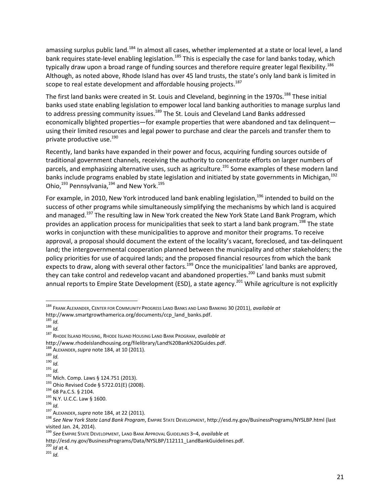<span id="page-23-0"></span>amassing surplus public land.<sup>184</sup> In almost all cases, whether implemented at a state or local level, a land bank requires state-level enabling legislation.<sup>185</sup> This is especially the case for land banks today, which typically draw upon a broad range of funding sources and therefore require greater legal flexibility.<sup>186</sup> Although, as noted above, Rhode Island has over 45 land trusts, the state's only land bank is limited in scope to real estate development and affordable housing projects.<sup>187</sup>

The first land banks were created in St. Louis and Cleveland, beginning in the 1970s.<sup>188</sup> These initial banks used state enabling legislation to empower local land banking authorities to manage surplus land to address pressing community issues.<sup>189</sup> The St. Louis and Cleveland Land Banks addressed economically blighted properties—for example properties that were abandoned and tax delinquent using their limited resources and legal power to purchase and clear the parcels and transfer them to private productive use.<sup>190</sup>

Recently, land banks have expanded in their power and focus, acquiring funding sources outside of traditional government channels, receiving the authority to concentrate efforts on larger numbers of parcels, and emphasizing alternative uses, such as agriculture.<sup>191</sup> Some examples of these modern land banks include programs enabled by state legislation and initiated by state governments in Michigan,<sup>192</sup> Ohio,<sup>193</sup> Pennsylvania,<sup>194</sup> and New York.<sup>195</sup>

For example, in 2010, New York introduced land bank enabling legislation,<sup>196</sup> intended to build on the success of other programs while simultaneously simplifying the mechanisms by which land is acquired and managed.<sup>197</sup> The resulting law in New York created the New York State Land Bank Program, which provides an application process for municipalities that seek to start a land bank program.<sup>198</sup> The state works in conjunction with these municipalities to approve and monitor their programs. To receive approval, a proposal should document the extent of the locality's vacant, foreclosed, and tax-delinquent land; the intergovernmental cooperation planned between the municipality and other stakeholders; the policy priorities for use of acquired lands; and the proposed financial resources from which the bank expects to draw, along with several other factors.<sup>199</sup> Once the municipalities' land banks are approved, they can take control and redevelop vacant and abandoned properties.<sup>200</sup> Land banks must submit annual reports to Empire State Development (ESD), a state agency.<sup>201</sup> While agriculture is not explicitly

<sup>200</sup> *Id* at 4*.*

 $\overline{\phantom{a}}$ <sup>184</sup> FRANK ALEXANDER, CENTER FOR COMMUNITY PROGRESS LAND BANKS AND LAND BANKING 30 (2011), *available at* http://www.smartgrowthamerica.org/documents/ccp\_land\_banks.pdf.

<sup>185</sup> *Id.* <sup>186</sup> *Id.*

<sup>187</sup> RHODE ISLAND HOUSING, RHODE ISLAND HOUSING LAND BANK PROGRAM, *available at*

http://www.rhodeislandhousing.org/filelibrary/Land%20Bank%20Guides.pdf.

<sup>188</sup> ALEXANDER,*supra* note [184,](#page-23-0) at 10 (2011).

<sup>189</sup> *Id.*

<sup>190</sup> *Id.*

<sup>191</sup> *Id.*

<sup>192</sup> Mich. Comp. Laws § 124.751 (2013).

<sup>193</sup> Ohio Revised Code § 5722.01(E) (2008).

<sup>194</sup> 68 Pa.C.S. § 2104.

<sup>195</sup> N.Y. U.C.C. Law § 1600.

<sup>196</sup> *Id.*

<sup>197</sup> ALEXANDER,*supra* note [184,](#page-23-0) at 22 (2011).

<sup>198</sup> *See New York State Land Bank Program*, EMPIRE STATE DEVELOPMENT, http://esd.ny.gov/BusinessPrograms/NYSLBP.html (last visited Jan. 24, 2014).

<sup>199</sup> *See* EMPIRE STATE DEVELOPMENT, LAND BANK APPROVAL GUIDELINES 3–4, *available a*t

http://esd.ny.gov/BusinessPrograms/Data/NYSLBP/112111\_LandBankGuidelines.pdf.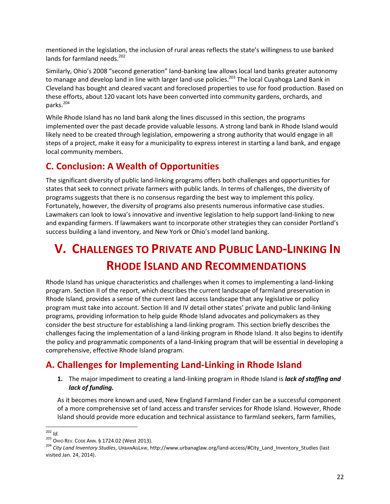mentioned in the legislation, the inclusion of rural areas reflects the state's willingness to use banked lands for farmland needs.<sup>202</sup>

Similarly, Ohio's 2008 "second generation" land-banking law allows local land banks greater autonomy to manage and develop land in line with larger land-use policies.<sup>203</sup> The local Cuyahoga Land Bank in Cleveland has bought and cleared vacant and foreclosed properties to use for food production. Based on these efforts, about 120 vacant lots have been converted into community gardens, orchards, and parks.<sup>204</sup>

While Rhode Island has no land bank along the lines discussed in this section, the programs implemented over the past decade provide valuable lessons. A strong land bank in Rhode Island would likely need to be created through legislation, empowering a strong authority that would engage in all steps of a project, make it easy for a municipality to express interest in starting a land bank, and engage local community members.

## **C. Conclusion: A Wealth of Opportunities**

The significant diversity of public land-linking programs offers both challenges and opportunities for states that seek to connect private farmers with public lands. In terms of challenges, the diversity of programs suggests that there is no consensus regarding the best way to implement this policy. Fortunately, however, the diversity of programs also presents numerous informative case studies. Lawmakers can look to Iowa's innovative and inventive legislation to help support land-linking to new and expanding farmers. If lawmakers want to incorporate other strategies they can consider Portland's success building a land inventory, and New York or Ohio's model land banking.

## <span id="page-24-0"></span>**V. CHALLENGES TO PRIVATE AND PUBLIC LAND-LINKING IN RHODE ISLAND AND RECOMMENDATIONS**

Rhode Island has unique characteristics and challenges when it comes to implementing a land-linking program. Section [II](#page-4-0) of the report, which describes the current landscape of farmland preservation in Rhode Island, provides a sense of the current land access landscape that any legislative or policy program must take into account. Sectio[n III](#page-13-0) an[d IV](#page-17-0) detail other states' private and public land-linking programs, providing information to help guide Rhode Island advocates and policymakers as they consider the best structure for establishing a land-linking program. This section briefly describes the challenges facing the implementation of a land-linking program in Rhode Island. It also begins to identify the policy and programmatic components of a land-linking program that will be essential in developing a comprehensive, effective Rhode Island program.

## **A. Challenges for Implementing Land-Linking in Rhode Island**

**1.** The major impediment to creating a land-linking program in Rhode Island is *lack of staffing and lack of funding.*

As it becomes more known and used, New England Farmland Finder can be a successful component of a more comprehensive set of land access and transfer services for Rhode Island. However, Rhode Island should provide more education and technical assistance to farmland seekers, farm families,

 $\overline{a}$ <sup>202</sup> *Id.*

<sup>203</sup> OHIO REV. CODE ANN. § 1724.02 (West 2013).

<sup>204</sup> *City Land Inventory Studies*, URBANAGLAW, http://www.urbanaglaw.org/land-access/#City\_Land\_Inventory\_Studies (last visited Jan. 24, 2014).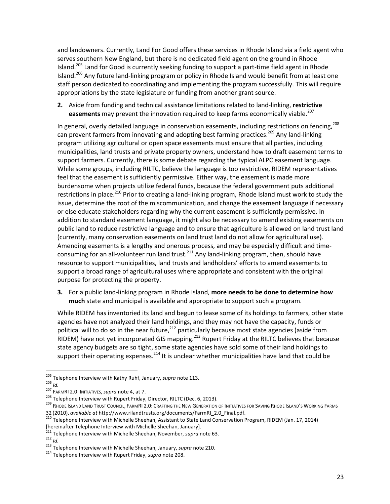and landowners. Currently, Land For Good offers these services in Rhode Island via a field agent who serves southern New England, but there is no dedicated field agent on the ground in Rhode Island.<sup>205</sup> Land for Good is currently seeking funding to support a part-time field agent in Rhode Island.<sup>206</sup> Any future land-linking program or policy in Rhode Island would benefit from at least one staff person dedicated to coordinating and implementing the program successfully. This will require appropriations by the state legislature or funding from another grant source.

**2.** Aside from funding and technical assistance limitations related to land-linking, **restrictive**  easements may prevent the innovation required to keep farms economically viable.<sup>207</sup>

<span id="page-25-1"></span><span id="page-25-0"></span>In general, overly detailed language in conservation easements, including restrictions on fencing,<sup>208</sup> can prevent farmers from innovating and adopting best farming practices.<sup>209</sup> Any land-linking program utilizing agricultural or open space easements must ensure that all parties, including municipalities, land trusts and private property owners, understand how to draft easement terms to support farmers. Currently, there is some debate regarding the typical ALPC easement language. While some groups, including RILTC, believe the language is too restrictive, RIDEM representatives feel that the easement is sufficiently permissive. Either way, the easement is made more burdensome when projects utilize federal funds, because the federal government puts additional restrictions in place.<sup>210</sup> Prior to creating a land-linking program, Rhode Island must work to study the issue, determine the root of the miscommunication, and change the easement language if necessary or else educate stakeholders regarding why the current easement is sufficiently permissive. In addition to standard easement language, it might also be necessary to amend existing easements on public land to reduce restrictive language and to ensure that agriculture is allowed on land trust land (currently, many conservation easements on land trust land do not allow for agricultural use). Amending easements is a lengthy and onerous process, and may be especially difficult and timeconsuming for an all-volunteer run land trust.<sup>211</sup> Any land-linking program, then, should have resource to support municipalities, land trusts and landholders' efforts to amend easements to support a broad range of agricultural uses where appropriate and consistent with the original purpose for protecting the property.

**3.** For a public land-linking program in Rhode Island, **more needs to be done to determine how much** state and municipal is available and appropriate to support such a program.

While RIDEM has inventoried its land and begun to lease some of its holdings to farmers, other state agencies have not analyzed their land holdings, and they may not have the capacity, funds or political will to do so in the near future,<sup>212</sup> particularly because most state agencies (aside from RIDEM) have not yet incorporated GIS mapping.<sup>213</sup> Rupert Friday at the RILTC believes that because state agency budgets are so tight, some state agencies have sold some of their land holdings to support their operating expenses.<sup>214</sup> It is unclear whether municipalities have land that could be

<sup>205</sup> Telephone Interview with Kathy Ruhf, January, *supra* note [113.](#page-14-0)

<sup>206</sup> *Id.*

<sup>207</sup> FARMRI 2.0: INITIATIVES,*supra* not[e 4,](#page-4-1) at 7.

<sup>&</sup>lt;sup>208</sup> Telephone Interview with Rupert Friday, Director, RILTC (Dec. 6, 2013).

<sup>209</sup> RHODE ISLAND LAND TRUST COUNCIL, FARMRI 2.0: CRAFTING THE NEW GENERATION OF INITIATIVES FOR SAVING RHODE ISLAND'S WORKING FARMS 32 (2010), *available at* http://www.rilandtrusts.org/documents/FarmRI\_2.0\_Final.pdf.

<sup>&</sup>lt;sup>210</sup> Telephone Interview with Michelle Sheehan, Assistant to State Land Conservation Program, RIDEM (Jan. 17, 2014) [hereinafter Telephone Interview with Michelle Sheehan, January].

<sup>&</sup>lt;sup>211</sup> Telephone Interview with Michelle Sheehan, November, *supra* not[e 63.](#page-9-0)

 $212$  *Id.* 

<sup>213</sup> Telephone Interview with Michelle Sheehan, January, *supra* note [210.](#page-25-0)

<sup>214</sup> Telephone Interview with Rupert Friday, *supra* note [208.](#page-25-1)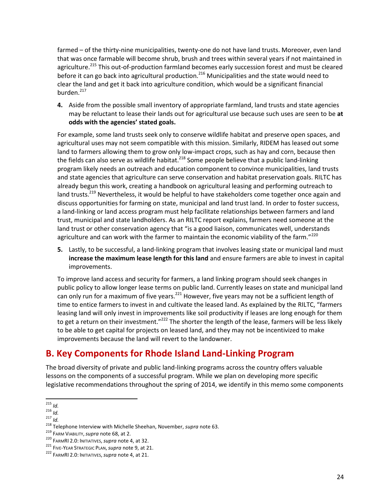farmed – of the thirty-nine municipalities, twenty-one do not have land trusts. Moreover, even land that was once farmable will become shrub, brush and trees within several years if not maintained in agriculture.<sup>215</sup> This out-of-production farmland becomes early succession forest and must be cleared before it can go back into agricultural production.<sup>216</sup> Municipalities and the state would need to clear the land and get it back into agriculture condition, which would be a significant financial burden. 217

**4.** Aside from the possible small inventory of appropriate farmland, land trusts and state agencies may be reluctant to lease their lands out for agricultural use because such uses are seen to be **at odds with the agencies' stated goals.**

For example, some land trusts seek only to conserve wildlife habitat and preserve open spaces, and agricultural uses may not seem compatible with this mission. Similarly, RIDEM has leased out some land to farmers allowing them to grow only low-impact crops, such as hay and corn, because then the fields can also serve as wildlife habitat.<sup>218</sup> Some people believe that a public land-linking program likely needs an outreach and education component to convince municipalities, land trusts and state agencies that agriculture can serve conservation and habitat preservation goals. RILTC has already begun this work, creating a handbook on agricultural leasing and performing outreach to land trusts.<sup>219</sup> Nevertheless, it would be helpful to have stakeholders come together once again and discuss opportunities for farming on state, municipal and land trust land. In order to foster success, a land-linking or land access program must help facilitate relationships between farmers and land trust, municipal and state landholders. As an RILTC report explains, farmers need someone at the land trust or other conservation agency that "is a good liaison, communicates well, understands agriculture and can work with the farmer to maintain the economic viability of the farm. $^{220}$ 

**5.** Lastly, to be successful, a land-linking program that involves leasing state or municipal land must **increase the maximum lease length for this land** and ensure farmers are able to invest in capital improvements.

To improve land access and security for farmers, a land linking program should seek changes in public policy to allow longer lease terms on public land. Currently leases on state and municipal land can only run for a maximum of five years.<sup>221</sup> However, five years may not be a sufficient length of time to entice farmers to invest in and cultivate the leased land. As explained by the RILTC, "farmers leasing land will only invest in improvements like soil productivity if leases are long enough for them to get a return on their investment."<sup>222</sup> The shorter the length of the lease, farmers will be less likely to be able to get capital for projects on leased land, and they may not be incentivized to make improvements because the land will revert to the landowner.

### **B. Key Components for Rhode Island Land-Linking Program**

The broad diversity of private and public land-linking programs across the country offers valuable lessons on the components of a successful program. While we plan on developing more specific legislative recommendations throughout the spring of 2014, we identify in this memo some components

 $\overline{a}$ <sup>215</sup> *Id.*

<sup>216</sup> *Id.*

<sup>217</sup> *Id.*

<sup>218</sup> Telephone Interview with Michelle Sheehan, November, *supra* not[e 63.](#page-9-0)

<sup>219</sup> FARM VIABILITY,*supra* not[e 68,](#page-9-1) at 2.

<sup>220</sup> FARMRI 2.0: INITIATIVES,*supra* not[e 4,](#page-4-1) at 32.

<sup>221</sup> FIVE-YEAR STRATEGIC PLAN,*supra* not[e 9,](#page-4-2) at 21.

<sup>222</sup> FARMRI 2.0: INITIATIVES,*supra* not[e 4,](#page-4-1) at 21.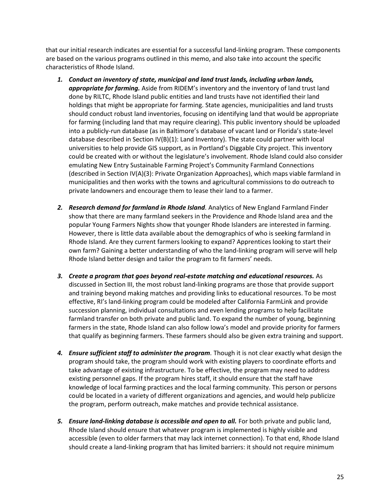that our initial research indicates are essential for a successful land-linking program. These components are based on the various programs outlined in this memo, and also take into account the specific characteristics of Rhode Island.

- *1. Conduct an inventory of state, municipal and land trust lands, including urban lands, appropriate for farming.* Aside from RIDEM's inventory and the inventory of land trust land done by RILTC, Rhode Island public entities and land trusts have not identified their land holdings that might be appropriate for farming. State agencies, municipalities and land trusts should conduct robust land inventories, focusing on identifying land that would be appropriate for farming (including land that may require clearing). This public inventory should be uploaded into a publicly-run database (as in Baltimore's database of vacant land or Florida's state-level database described in Section IV(B)(1): Land Inventory). The state could partner with local universities to help provide GIS support, as in Portland's Diggable City project. This inventory could be created with or without the legislature's involvement. Rhode Island could also consider emulating New Entry Sustainable Farming Project's Community Farmland Connections (described in Section IV(A)(3): Private Organization Approaches), which maps viable farmland in municipalities and then works with the towns and agricultural commissions to do outreach to private landowners and encourage them to lease their land to a farmer.
- *2. Research demand for farmland in Rhode Island.* Analytics of New England Farmland Finder show that there are many farmland seekers in the Providence and Rhode Island area and the popular Young Farmers Nights show that younger Rhode Islanders are interested in farming. However, there is little data available about the demographics of who is seeking farmland in Rhode Island. Are they current farmers looking to expand? Apprentices looking to start their own farm? Gaining a better understanding of who the land-linking program will serve will help Rhode Island better design and tailor the program to fit farmers' needs.
- *3. Create a program that goes beyond real-estate matching and educational resources.* As discussed in Sectio[n III,](#page-13-0) the most robust land-linking programs are those that provide support and training beyond making matches and providing links to educational resources. To be most effective, RI's land-linking program could be modeled after California FarmLink and provide succession planning, individual consultations and even lending programs to help facilitate farmland transfer on both private and public land. To expand the number of young, beginning farmers in the state, Rhode Island can also follow Iowa's model and provide priority for farmers that qualify as beginning farmers. These farmers should also be given extra training and support.
- *4. Ensure sufficient staff to administer the program.* Though it is not clear exactly what design the program should take, the program should work with existing players to coordinate efforts and take advantage of existing infrastructure. To be effective, the program may need to address existing personnel gaps. If the program hires staff, it should ensure that the staff have knowledge of local farming practices and the local farming community. This person or persons could be located in a variety of different organizations and agencies, and would help publicize the program, perform outreach, make matches and provide technical assistance.
- *5. Ensure land-linking database is accessible and open to all.* For both private and public land, Rhode Island should ensure that whatever program is implemented is highly visible and accessible (even to older farmers that may lack internet connection). To that end, Rhode Island should create a land-linking program that has limited barriers: it should not require minimum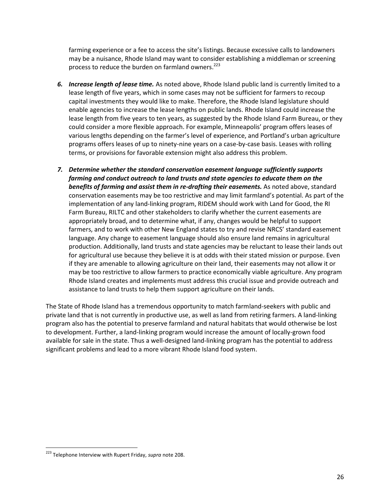farming experience or a fee to access the site's listings. Because excessive calls to landowners may be a nuisance, Rhode Island may want to consider establishing a middleman or screening process to reduce the burden on farmland owners.<sup>223</sup>

- *6. Increase length of lease time.* As noted above, Rhode Island public land is currently limited to a lease length of five years, which in some cases may not be sufficient for farmers to recoup capital investments they would like to make. Therefore, the Rhode Island legislature should enable agencies to increase the lease lengths on public lands. Rhode Island could increase the lease length from five years to ten years, as suggested by the Rhode Island Farm Bureau, or they could consider a more flexible approach. For example, Minneapolis' program offers leases of various lengths depending on the farmer's level of experience, and Portland's urban agriculture programs offers leases of up to ninety-nine years on a case-by-case basis. Leases with rolling terms, or provisions for favorable extension might also address this problem.
- *7. Determine whether the standard conservation easement language sufficiently supports farming and conduct outreach to land trusts and state agencies to educate them on the benefits of farming and assist them in re-drafting their easements.* As noted above, standard conservation easements may be too restrictive and may limit farmland's potential. As part of the implementation of any land-linking program, RIDEM should work with Land for Good, the RI Farm Bureau, RILTC and other stakeholders to clarify whether the current easements are appropriately broad, and to determine what, if any, changes would be helpful to support farmers, and to work with other New England states to try and revise NRCS' standard easement language. Any change to easement language should also ensure land remains in agricultural production. Additionally, land trusts and state agencies may be reluctant to lease their lands out for agricultural use because they believe it is at odds with their stated mission or purpose. Even if they are amenable to allowing agriculture on their land, their easements may not allow it or may be too restrictive to allow farmers to practice economically viable agriculture. Any program Rhode Island creates and implements must address this crucial issue and provide outreach and assistance to land trusts to help them support agriculture on their lands.

The State of Rhode Island has a tremendous opportunity to match farmland-seekers with public and private land that is not currently in productive use, as well as land from retiring farmers. A land-linking program also has the potential to preserve farmland and natural habitats that would otherwise be lost to development. Further, a land-linking program would increase the amount of locally-grown food available for sale in the state. Thus a well-designed land-linking program has the potential to address significant problems and lead to a more vibrant Rhode Island food system.

 $\overline{a}$ 

<sup>223</sup> Telephone Interview with Rupert Friday, *supra* note [208.](#page-25-1)